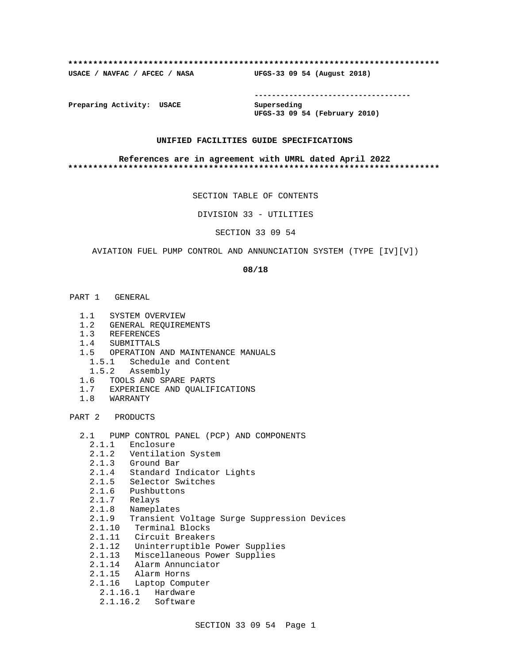#### **\*\*\*\*\*\*\*\*\*\*\*\*\*\*\*\*\*\*\*\*\*\*\*\*\*\*\*\*\*\*\*\*\*\*\*\*\*\*\*\*\*\*\*\*\*\*\*\*\*\*\*\*\*\*\*\*\*\*\*\*\*\*\*\*\*\*\*\*\*\*\*\*\*\***

**USACE / NAVFAC / AFCEC / NASA UFGS-33 09 54 (August 2018)**

**------------------------------------**

**Preparing Activity: USACE Superseding**

**UFGS-33 09 54 (February 2010)**

### **UNIFIED FACILITIES GUIDE SPECIFICATIONS**

#### **References are in agreement with UMRL dated April 2022 \*\*\*\*\*\*\*\*\*\*\*\*\*\*\*\*\*\*\*\*\*\*\*\*\*\*\*\*\*\*\*\*\*\*\*\*\*\*\*\*\*\*\*\*\*\*\*\*\*\*\*\*\*\*\*\*\*\*\*\*\*\*\*\*\*\*\*\*\*\*\*\*\*\***

SECTION TABLE OF CONTENTS

DIVISION 33 - UTILITIES

SECTION 33 09 54

AVIATION FUEL PUMP CONTROL AND ANNUNCIATION SYSTEM (TYPE [IV][V])

#### **08/18**

- PART 1 GENERAL
	- 1.1 SYSTEM OVERVIEW
	- 1.2 GENERAL REQUIREMENTS
	- 1.3 REFERENCES
	- 1.4 SUBMITTALS
	- 1.5 OPERATION AND MAINTENANCE MANUALS
		- 1.5.1 Schedule and Content
	- 1.5.2 Assembly
	- 1.6 TOOLS AND SPARE PARTS
	- 1.7 EXPERIENCE AND QUALIFICATIONS
	- 1.8 WARRANTY

PART 2 PRODUCTS

- 2.1 PUMP CONTROL PANEL (PCP) AND COMPONENTS
	- 2.1.1 Enclosure
	- 2.1.2 Ventilation System
	- 2.1.3 Ground Bar
	- 2.1.4 Standard Indicator Lights
	- 2.1.5 Selector Switches
	- 2.1.6 Pushbuttons
- 2.1.7 Relays
- 2.1.8 Nameplates
	- 2.1.9 Transient Voltage Surge Suppression Devices
	- 2.1.10 Terminal Blocks
	- 2.1.11 Circuit Breakers
	- 2.1.12 Uninterruptible Power Supplies
	- 2.1.13 Miscellaneous Power Supplies
	- 2.1.14 Alarm Annunciator
	- 2.1.15 Alarm Horns
	- 2.1.16 Laptop Computer
		- 2.1.16.1 Hardware
		- 2.1.16.2 Software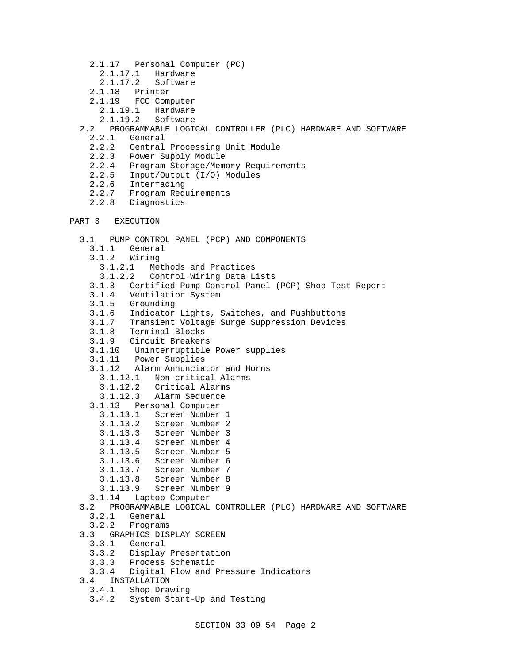- 2.1.17 Personal Computer (PC)
	- 2.1.17.1 Hardware
	- 2.1.17.2 Software
- 2.1.18 Printer
- 2.1.19 FCC Computer
	- 2.1.19.1 Hardware
	- 2.1.19.2 Software
- 2.2 PROGRAMMABLE LOGICAL CONTROLLER (PLC) HARDWARE AND SOFTWARE
	- 2.2.1 General
	- 2.2.2 Central Processing Unit Module
	- 2.2.3 Power Supply Module
	- 2.2.4 Program Storage/Memory Requirements
	- 2.2.5 Input/Output (I/O) Modules
	- 2.2.6 Interfacing<br>2.2.7 Program Reg
	- 2.2.7 Program Requirements
	- 2.2.8 Diagnostics

```
PART 3 EXECUTION
```

```
 3.1 PUMP CONTROL PANEL (PCP) AND COMPONENTS
   3.1.1 General
   3.1.2 Wiring
    3.1.2.1 Methods and Practices
     3.1.2.2 Control Wiring Data Lists
   3.1.3 Certified Pump Control Panel (PCP) Shop Test Report
  3.1.4 Ventilation System
  3.1.5 Grounding
  3.1.6 Indicator Lights, Switches, and Pushbuttons
  3.1.7 Transient Voltage Surge Suppression Devices
  3.1.8 Terminal Blocks
  3.1.9 Circuit Breakers
  3.1.10 Uninterruptible Power supplies
  3.1.11 Power Supplies
  3.1.12 Alarm Annunciator and Horns
    3.1.12.1 Non-critical Alarms
    3.1.12.2 Critical Alarms
    3.1.12.3 Alarm Sequence
   3.1.13 Personal Computer
     3.1.13.1 Screen Number 1
     3.1.13.2 Screen Number 2
     3.1.13.3 Screen Number 3
    3.1.13.4 Screen Number 4
     3.1.13.5 Screen Number 5
     3.1.13.6 Screen Number 6
     3.1.13.7 Screen Number 7
     3.1.13.8 Screen Number 8
    3.1.13.9 Screen Number 9
  3.1.14 Laptop Computer
 3.2 PROGRAMMABLE LOGICAL CONTROLLER (PLC) HARDWARE AND SOFTWARE
 3.2.1 General<br>3.2.2 Program
         3.2.2 Programs
 3.3 GRAPHICS DISPLAY SCREEN
   3.3.1 General
   3.3.2 Display Presentation
   3.3.3 Process Schematic
   3.3.4 Digital Flow and Pressure Indicators
 3.4 INSTALLATION
  3.4.1 Shop Drawing
   3.4.2 System Start-Up and Testing
```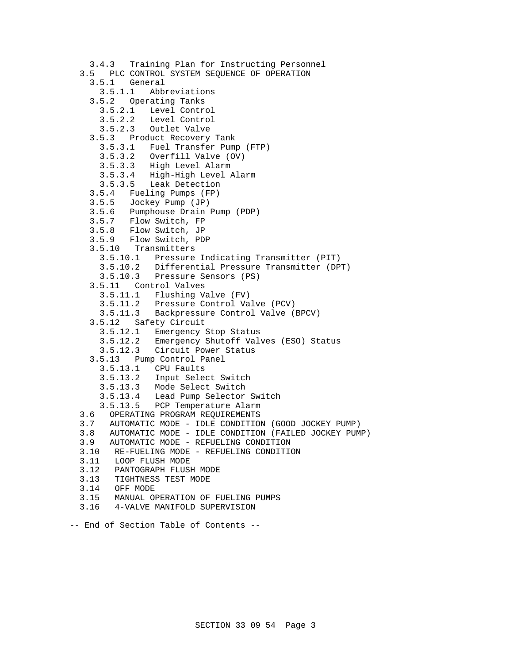```
 3.4.3 Training Plan for Instructing Personnel
 3.5 PLC CONTROL SYSTEM SEQUENCE OF OPERATION
   3.5.1 General
     3.5.1.1 Abbreviations
   3.5.2 Operating Tanks
     3.5.2.1 Level Control
     3.5.2.2 Level Control
     3.5.2.3 Outlet Valve
   3.5.3 Product Recovery Tank
     3.5.3.1 Fuel Transfer Pump (FTP)
     3.5.3.2 Overfill Valve (OV)
     3.5.3.3 High Level Alarm
     3.5.3.4 High-High Level Alarm
    3.5.3.5 Leak Detection
   3.5.4 Fueling Pumps (FP)
   3.5.5 Jockey Pump (JP)
   3.5.6 Pumphouse Drain Pump (PDP)
   3.5.7 Flow Switch, FP
   3.5.8 Flow Switch, JP
   3.5.9 Flow Switch, PDP
   3.5.10 Transmitters
     3.5.10.1 Pressure Indicating Transmitter (PIT)
     3.5.10.2 Differential Pressure Transmitter (DPT)
     3.5.10.3 Pressure Sensors (PS)
   3.5.11 Control Valves
     3.5.11.1 Flushing Valve (FV)
     3.5.11.2 Pressure Control Valve (PCV)
     3.5.11.3 Backpressure Control Valve (BPCV)
   3.5.12 Safety Circuit
     3.5.12.1 Emergency Stop Status
     3.5.12.2 Emergency Shutoff Valves (ESO) Status
     3.5.12.3 Circuit Power Status
   3.5.13 Pump Control Panel
     3.5.13.1 CPU Faults
     3.5.13.2 Input Select Switch
     3.5.13.3 Mode Select Switch
     3.5.13.4 Lead Pump Selector Switch
     3.5.13.5 PCP Temperature Alarm
 3.6 OPERATING PROGRAM REQUIREMENTS
 3.7 AUTOMATIC MODE - IDLE CONDITION (GOOD JOCKEY PUMP)
 3.8 AUTOMATIC MODE - IDLE CONDITION (FAILED JOCKEY PUMP)
 3.9 AUTOMATIC MODE - REFUELING CONDITION
 3.10 RE-FUELING MODE - REFUELING CONDITION
 3.11 LOOP FLUSH MODE
3.12 PANTOGRAPH FLUSH MODE<br>3.13 TIGHTNESS TEST MODE
       3.13 TIGHTNESS TEST MODE
 3.14 OFF MODE
 3.15 MANUAL OPERATION OF FUELING PUMPS
 3.16 4-VALVE MANIFOLD SUPERVISION
```
-- End of Section Table of Contents --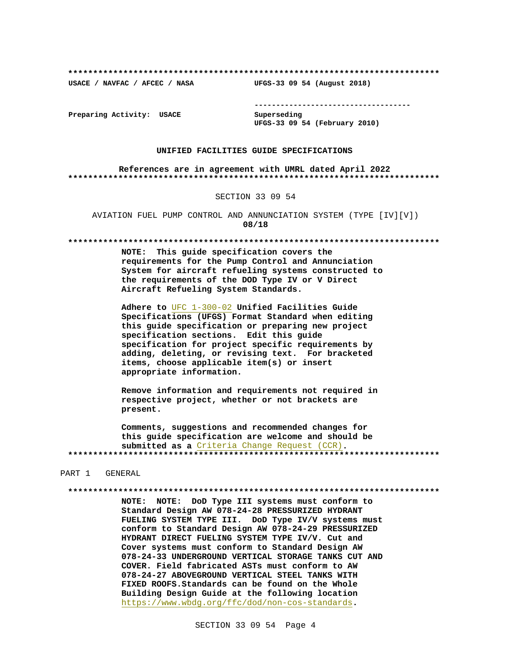**\*\*\*\*\*\*\*\*\*\*\*\*\*\*\*\*\*\*\*\*\*\*\*\*\*\*\*\*\*\*\*\*\*\*\*\*\*\*\*\*\*\*\*\*\*\*\*\*\*\*\*\*\*\*\*\*\*\*\*\*\*\*\*\*\*\*\*\*\*\*\*\*\*\***

**USACE / NAVFAC / AFCEC / NASA UFGS-33 09 54 (August 2018)**

**------------------------------------**

**Preparing Activity: USACE Superseding**

**UFGS-33 09 54 (February 2010)**

### **UNIFIED FACILITIES GUIDE SPECIFICATIONS**

**References are in agreement with UMRL dated April 2022 \*\*\*\*\*\*\*\*\*\*\*\*\*\*\*\*\*\*\*\*\*\*\*\*\*\*\*\*\*\*\*\*\*\*\*\*\*\*\*\*\*\*\*\*\*\*\*\*\*\*\*\*\*\*\*\*\*\*\*\*\*\*\*\*\*\*\*\*\*\*\*\*\*\***

#### SECTION 33 09 54

AVIATION FUEL PUMP CONTROL AND ANNUNCIATION SYSTEM (TYPE [IV][V]) **08/18**

**\*\*\*\*\*\*\*\*\*\*\*\*\*\*\*\*\*\*\*\*\*\*\*\*\*\*\*\*\*\*\*\*\*\*\*\*\*\*\*\*\*\*\*\*\*\*\*\*\*\*\*\*\*\*\*\*\*\*\*\*\*\*\*\*\*\*\*\*\*\*\*\*\*\***

**NOTE: This guide specification covers the requirements for the Pump Control and Annunciation System for aircraft refueling systems constructed to the requirements of the DOD Type IV or V Direct Aircraft Refueling System Standards.**

**Adhere to** UFC 1-300-02 **Unified Facilities Guide Specifications (UFGS) Format Standard when editing this guide specification or preparing new project specification sections. Edit this guide specification for project specific requirements by adding, deleting, or revising text. For bracketed items, choose applicable item(s) or insert appropriate information.**

**Remove information and requirements not required in respective project, whether or not brackets are present.**

**Comments, suggestions and recommended changes for this guide specification are welcome and should be submitted as a** Criteria Change Request (CCR)**. \*\*\*\*\*\*\*\*\*\*\*\*\*\*\*\*\*\*\*\*\*\*\*\*\*\*\*\*\*\*\*\*\*\*\*\*\*\*\*\*\*\*\*\*\*\*\*\*\*\*\*\*\*\*\*\*\*\*\*\*\*\*\*\*\*\*\*\*\*\*\*\*\*\***

#### PART 1 GENERAL

**\*\*\*\*\*\*\*\*\*\*\*\*\*\*\*\*\*\*\*\*\*\*\*\*\*\*\*\*\*\*\*\*\*\*\*\*\*\*\*\*\*\*\*\*\*\*\*\*\*\*\*\*\*\*\*\*\*\*\*\*\*\*\*\*\*\*\*\*\*\*\*\*\*\***

**NOTE: NOTE: DoD Type III systems must conform to Standard Design AW 078-24-28 PRESSURIZED HYDRANT FUELING SYSTEM TYPE III. DoD Type IV/V systems must conform to Standard Design AW 078-24-29 PRESSURIZED HYDRANT DIRECT FUELING SYSTEM TYPE IV/V. Cut and Cover systems must conform to Standard Design AW 078-24-33 UNDERGROUND VERTICAL STORAGE TANKS CUT AND COVER. Field fabricated ASTs must conform to AW 078-24-27 ABOVEGROUND VERTICAL STEEL TANKS WITH FIXED ROOFS.Standards can be found on the Whole Building Design Guide at the following location** https://www.wbdg.org/ffc/dod/non-cos-standards**.**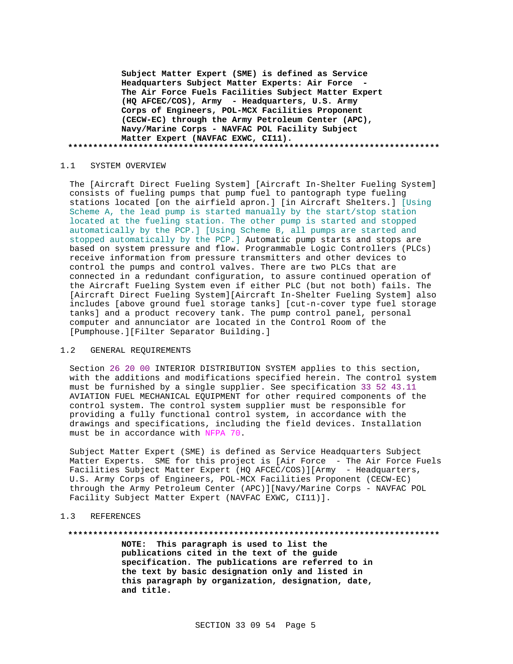**Subject Matter Expert (SME) is defined as Service Headquarters Subject Matter Experts: Air Force - The Air Force Fuels Facilities Subject Matter Expert (HQ AFCEC/COS), Army - Headquarters, U.S. Army Corps of Engineers, POL-MCX Facilities Proponent (CECW-EC) through the Army Petroleum Center (APC), Navy/Marine Corps - NAVFAC POL Facility Subject Matter Expert (NAVFAC EXWC, CI11). \*\*\*\*\*\*\*\*\*\*\*\*\*\*\*\*\*\*\*\*\*\*\*\*\*\*\*\*\*\*\*\*\*\*\*\*\*\*\*\*\*\*\*\*\*\*\*\*\*\*\*\*\*\*\*\*\*\*\*\*\*\*\*\*\*\*\*\*\*\*\*\*\*\***

### 1.1 SYSTEM OVERVIEW

The [Aircraft Direct Fueling System] [Aircraft In-Shelter Fueling System] consists of fueling pumps that pump fuel to pantograph type fueling stations located [on the airfield apron.] [in Aircraft Shelters.] [Using Scheme A, the lead pump is started manually by the start/stop station located at the fueling station. The other pump is started and stopped automatically by the PCP.] [Using Scheme B, all pumps are started and stopped automatically by the PCP.] Automatic pump starts and stops are based on system pressure and flow. Programmable Logic Controllers (PLCs) receive information from pressure transmitters and other devices to control the pumps and control valves. There are two PLCs that are connected in a redundant configuration, to assure continued operation of the Aircraft Fueling System even if either PLC (but not both) fails. The [Aircraft Direct Fueling System][Aircraft In-Shelter Fueling System] also includes [above ground fuel storage tanks] [cut-n-cover type fuel storage tanks] and a product recovery tank. The pump control panel, personal computer and annunciator are located in the Control Room of the [Pumphouse.][Filter Separator Building.]

### 1.2 GENERAL REQUIREMENTS

Section 26 20 00 INTERIOR DISTRIBUTION SYSTEM applies to this section, with the additions and modifications specified herein. The control system must be furnished by a single supplier. See specification 33 52 43.11 AVIATION FUEL MECHANICAL EQUIPMENT for other required components of the control system. The control system supplier must be responsible for providing a fully functional control system, in accordance with the drawings and specifications, including the field devices. Installation must be in accordance with NFPA 70.

Subject Matter Expert (SME) is defined as Service Headquarters Subject Matter Experts. SME for this project is [Air Force - The Air Force Fuels Facilities Subject Matter Expert (HQ AFCEC/COS)][Army - Headquarters, U.S. Army Corps of Engineers, POL-MCX Facilities Proponent (CECW-EC) through the Army Petroleum Center (APC)][Navy/Marine Corps - NAVFAC POL Facility Subject Matter Expert (NAVFAC EXWC, CI11)].

## 1.3 REFERENCES

#### **\*\*\*\*\*\*\*\*\*\*\*\*\*\*\*\*\*\*\*\*\*\*\*\*\*\*\*\*\*\*\*\*\*\*\*\*\*\*\*\*\*\*\*\*\*\*\*\*\*\*\*\*\*\*\*\*\*\*\*\*\*\*\*\*\*\*\*\*\*\*\*\*\*\***

**NOTE: This paragraph is used to list the publications cited in the text of the guide specification. The publications are referred to in the text by basic designation only and listed in this paragraph by organization, designation, date, and title.**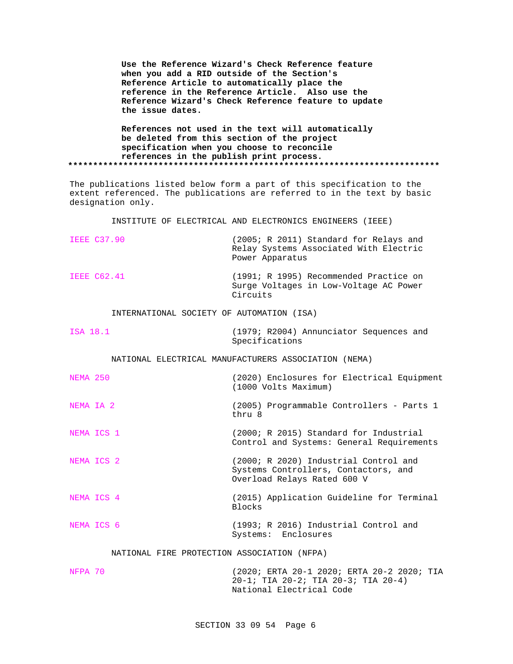**Use the Reference Wizard's Check Reference feature when you add a RID outside of the Section's Reference Article to automatically place the reference in the Reference Article. Also use the Reference Wizard's Check Reference feature to update the issue dates.**

**References not used in the text will automatically be deleted from this section of the project specification when you choose to reconcile references in the publish print process. \*\*\*\*\*\*\*\*\*\*\*\*\*\*\*\*\*\*\*\*\*\*\*\*\*\*\*\*\*\*\*\*\*\*\*\*\*\*\*\*\*\*\*\*\*\*\*\*\*\*\*\*\*\*\*\*\*\*\*\*\*\*\*\*\*\*\*\*\*\*\*\*\*\***

The publications listed below form a part of this specification to the extent referenced. The publications are referred to in the text by basic designation only.

INSTITUTE OF ELECTRICAL AND ELECTRONICS ENGINEERS (IEEE)

| <b>IEEE C37.90</b>                        | (2005; R 2011) Standard for Relays and<br>Relay Systems Associated With Electric<br>Power Apparatus |
|-------------------------------------------|-----------------------------------------------------------------------------------------------------|
| TEEE C62.41                               | (1991; R 1995) Recommended Practice on<br>Surge Voltages in Low-Voltage AC Power<br>Circuits        |
| INTERNATIONAL SOCIETY OF AUTOMATION (ISA) |                                                                                                     |
| ISA 18.1                                  | (1979; R2004) Annunciator Sequences and<br>Specifications                                           |
|                                           | NATIONAL ELECTRICAL MANUFACTURERS ASSOCIATION (NEMA)                                                |

NEMA 250 (2020) Enclosures for Electrical Equipment (1000 Volts Maximum)

NEMA IA 2 (2005) Programmable Controllers - Parts 1 thru 8

NEMA ICS 1 (2000; R 2015) Standard for Industrial Control and Systems: General Requirements

NEMA ICS 2 (2000; R 2020) Industrial Control and Systems Controllers, Contactors, and Overload Relays Rated 600 V

NEMA ICS 4 (2015) Application Guideline for Terminal Blocks

# NEMA ICS 6 (1993; R 2016) Industrial Control and Systems: Enclosures

### NATIONAL FIRE PROTECTION ASSOCIATION (NFPA)

| NFPA 70 | (2020; ERTA 20-1 2020; ERTA 20-2 2020; TIA |
|---------|--------------------------------------------|
|         | 20-1; TIA 20-2; TIA 20-3; TIA 20-4)        |
|         | National Electrical Code                   |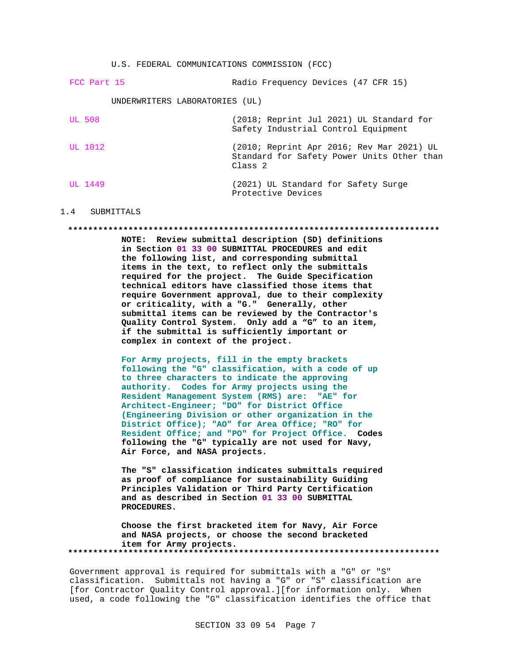U.S. FEDERAL COMMUNICATIONS COMMISSION (FCC)

| FCC Part 15                    | Radio Frequency Devices (47 CFR 15)                                                                           |
|--------------------------------|---------------------------------------------------------------------------------------------------------------|
| UNDERWRITERS LABORATORIES (UL) |                                                                                                               |
| UL 508                         | (2018; Reprint Jul 2021) UL Standard for<br>Safety Industrial Control Equipment                               |
| UL 1012                        | (2010; Reprint Apr 2016; Rev Mar 2021) UL<br>Standard for Safety Power Units Other than<br>Class <sub>2</sub> |
| UL 1449                        | (2021) UL Standard for Safety Surge<br>Protective Devices                                                     |

#### 1.4 SUBMITTALS

#### **\*\*\*\*\*\*\*\*\*\*\*\*\*\*\*\*\*\*\*\*\*\*\*\*\*\*\*\*\*\*\*\*\*\*\*\*\*\*\*\*\*\*\*\*\*\*\*\*\*\*\*\*\*\*\*\*\*\*\*\*\*\*\*\*\*\*\*\*\*\*\*\*\*\***

**NOTE: Review submittal description (SD) definitions in Section 01 33 00 SUBMITTAL PROCEDURES and edit the following list, and corresponding submittal items in the text, to reflect only the submittals required for the project. The Guide Specification technical editors have classified those items that require Government approval, due to their complexity or criticality, with a "G." Generally, other submittal items can be reviewed by the Contractor's Quality Control System. Only add a "G" to an item, if the submittal is sufficiently important or complex in context of the project.**

**For Army projects, fill in the empty brackets following the "G" classification, with a code of up to three characters to indicate the approving authority. Codes for Army projects using the Resident Management System (RMS) are: "AE" for Architect-Engineer; "DO" for District Office (Engineering Division or other organization in the District Office); "AO" for Area Office; "RO" for Resident Office; and "PO" for Project Office. Codes following the "G" typically are not used for Navy, Air Force, and NASA projects.**

**The "S" classification indicates submittals required as proof of compliance for sustainability Guiding Principles Validation or Third Party Certification and as described in Section 01 33 00 SUBMITTAL PROCEDURES.**

**Choose the first bracketed item for Navy, Air Force and NASA projects, or choose the second bracketed item for Army projects. \*\*\*\*\*\*\*\*\*\*\*\*\*\*\*\*\*\*\*\*\*\*\*\*\*\*\*\*\*\*\*\*\*\*\*\*\*\*\*\*\*\*\*\*\*\*\*\*\*\*\*\*\*\*\*\*\*\*\*\*\*\*\*\*\*\*\*\*\*\*\*\*\*\***

Government approval is required for submittals with a "G" or "S" classification. Submittals not having a "G" or "S" classification are [for Contractor Quality Control approval.][for information only. When used, a code following the "G" classification identifies the office that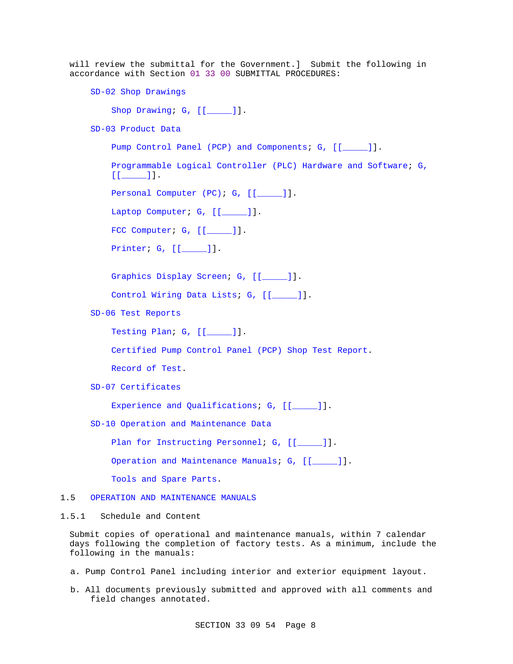will review the submittal for the Government.] Submit the following in accordance with Section 01 33 00 SUBMITTAL PROCEDURES:

SD-02 Shop Drawings

Shop Drawing; G, [[\_\_\_\_]].

SD-03 Product Data

Pump Control Panel (PCP) and Components; G, [[\_\_\_\_]]. Programmable Logical Controller (PLC) Hardware and Software; G,  $[$ [ $]$   $]$ ]. Personal Computer (PC); G, [[\_\_\_\_\_]]. Laptop Computer; G, [[\_\_\_\_\_]]. FCC Computer; G, [[\_\_\_\_]]. Printer; G, [[\_\_\_\_\_]]. Graphics Display Screen; G, [[\_\_\_\_\_]]. Control Wiring Data Lists; G, [[\_\_\_\_\_]]. SD-06 Test Reports Testing Plan; G, [[\_\_\_\_\_]]. Certified Pump Control Panel (PCP) Shop Test Report. Record of Test. SD-07 Certificates Experience and Qualifications; G, [[\_\_\_\_]]. SD-10 Operation and Maintenance Data Plan for Instructing Personnel; G, [[\_\_\_\_]]. Operation and Maintenance Manuals; G, [[\_\_\_\_]].

Tools and Spare Parts.

## 1.5 OPERATION AND MAINTENANCE MANUALS

1.5.1 Schedule and Content

Submit copies of operational and maintenance manuals, within 7 calendar days following the completion of factory tests. As a minimum, include the following in the manuals:

- a. Pump Control Panel including interior and exterior equipment layout.
- b. All documents previously submitted and approved with all comments and field changes annotated.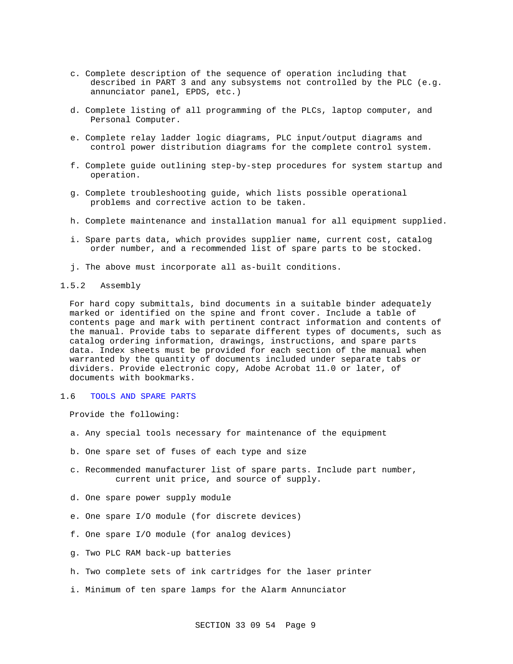- c. Complete description of the sequence of operation including that described in PART 3 and any subsystems not controlled by the PLC (e.g. annunciator panel, EPDS, etc.)
- d. Complete listing of all programming of the PLCs, laptop computer, and Personal Computer.
- e. Complete relay ladder logic diagrams, PLC input/output diagrams and control power distribution diagrams for the complete control system.
- f. Complete guide outlining step-by-step procedures for system startup and operation.
- g. Complete troubleshooting guide, which lists possible operational problems and corrective action to be taken.
- h. Complete maintenance and installation manual for all equipment supplied.
- i. Spare parts data, which provides supplier name, current cost, catalog order number, and a recommended list of spare parts to be stocked.
- j. The above must incorporate all as-built conditions.
- 1.5.2 Assembly

For hard copy submittals, bind documents in a suitable binder adequately marked or identified on the spine and front cover. Include a table of contents page and mark with pertinent contract information and contents of the manual. Provide tabs to separate different types of documents, such as catalog ordering information, drawings, instructions, and spare parts data. Index sheets must be provided for each section of the manual when warranted by the quantity of documents included under separate tabs or dividers. Provide electronic copy, Adobe Acrobat 11.0 or later, of documents with bookmarks.

1.6 TOOLS AND SPARE PARTS

Provide the following:

- a. Any special tools necessary for maintenance of the equipment
- b. One spare set of fuses of each type and size
- c. Recommended manufacturer list of spare parts. Include part number, current unit price, and source of supply.
- d. One spare power supply module
- e. One spare I/O module (for discrete devices)
- f. One spare I/O module (for analog devices)
- g. Two PLC RAM back-up batteries
- h. Two complete sets of ink cartridges for the laser printer
- i. Minimum of ten spare lamps for the Alarm Annunciator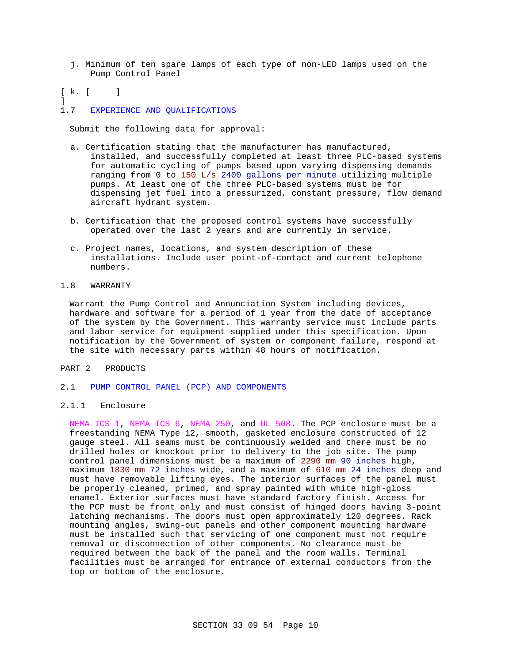- j. Minimum of ten spare lamps of each type of non-LED lamps used on the Pump Control Panel
- $[k. [$  [

]

1.7 EXPERIENCE AND QUALIFICATIONS

Submit the following data for approval:

- a. Certification stating that the manufacturer has manufactured, installed, and successfully completed at least three PLC-based systems for automatic cycling of pumps based upon varying dispensing demands ranging from 0 to 150 L/s 2400 gallons per minute utilizing multiple pumps. At least one of the three PLC-based systems must be for dispensing jet fuel into a pressurized, constant pressure, flow demand aircraft hydrant system.
- b. Certification that the proposed control systems have successfully operated over the last 2 years and are currently in service.
- c. Project names, locations, and system description of these installations. Include user point-of-contact and current telephone numbers.
- 1.8 WARRANTY

Warrant the Pump Control and Annunciation System including devices, hardware and software for a period of 1 year from the date of acceptance of the system by the Government. This warranty service must include parts and labor service for equipment supplied under this specification. Upon notification by the Government of system or component failure, respond at the site with necessary parts within 48 hours of notification.

## PART 2 PRODUCTS

- 2.1 PUMP CONTROL PANEL (PCP) AND COMPONENTS
- 2.1.1 Enclosure

NEMA ICS 1, NEMA ICS 6, NEMA 250, and UL 508. The PCP enclosure must be a freestanding NEMA Type 12, smooth, gasketed enclosure constructed of 12 gauge steel. All seams must be continuously welded and there must be no drilled holes or knockout prior to delivery to the job site. The pump control panel dimensions must be a maximum of 2290 mm 90 inches high, maximum 1830 mm 72 inches wide, and a maximum of 610 mm 24 inches deep and must have removable lifting eyes. The interior surfaces of the panel must be properly cleaned, primed, and spray painted with white high-gloss enamel. Exterior surfaces must have standard factory finish. Access for the PCP must be front only and must consist of hinged doors having 3-point latching mechanisms. The doors must open approximately 120 degrees. Rack mounting angles, swing-out panels and other component mounting hardware must be installed such that servicing of one component must not require removal or disconnection of other components. No clearance must be required between the back of the panel and the room walls. Terminal facilities must be arranged for entrance of external conductors from the top or bottom of the enclosure.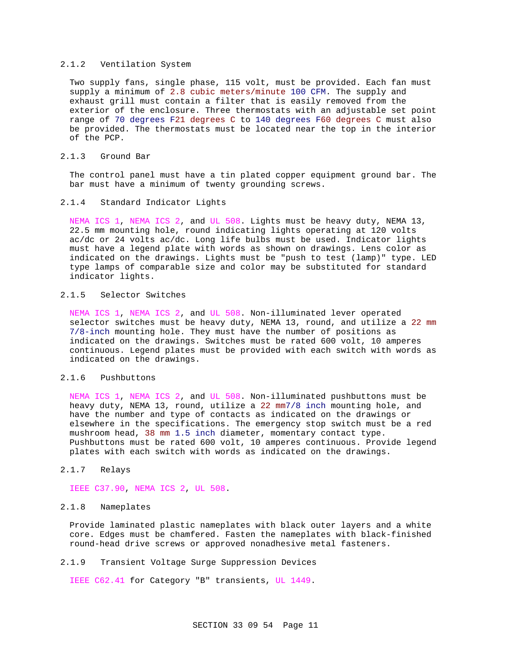### 2.1.2 Ventilation System

Two supply fans, single phase, 115 volt, must be provided. Each fan must supply a minimum of 2.8 cubic meters/minute 100 CFM. The supply and exhaust grill must contain a filter that is easily removed from the exterior of the enclosure. Three thermostats with an adjustable set point range of 70 degrees F21 degrees C to 140 degrees F60 degrees C must also be provided. The thermostats must be located near the top in the interior of the PCP.

## 2.1.3 Ground Bar

The control panel must have a tin plated copper equipment ground bar. The bar must have a minimum of twenty grounding screws.

### 2.1.4 Standard Indicator Lights

NEMA ICS 1, NEMA ICS 2, and UL 508. Lights must be heavy duty, NEMA 13, 22.5 mm mounting hole, round indicating lights operating at 120 volts ac/dc or 24 volts ac/dc. Long life bulbs must be used. Indicator lights must have a legend plate with words as shown on drawings. Lens color as indicated on the drawings. Lights must be "push to test (lamp)" type. LED type lamps of comparable size and color may be substituted for standard indicator lights.

## 2.1.5 Selector Switches

NEMA ICS 1, NEMA ICS 2, and UL 508. Non-illuminated lever operated selector switches must be heavy duty, NEMA 13, round, and utilize a 22 mm 7/8-inch mounting hole. They must have the number of positions as indicated on the drawings. Switches must be rated 600 volt, 10 amperes continuous. Legend plates must be provided with each switch with words as indicated on the drawings.

### 2.1.6 Pushbuttons

NEMA ICS 1, NEMA ICS 2, and UL 508. Non-illuminated pushbuttons must be heavy duty, NEMA 13, round, utilize a 22 mm7/8 inch mounting hole, and have the number and type of contacts as indicated on the drawings or elsewhere in the specifications. The emergency stop switch must be a red mushroom head, 38 mm 1.5 inch diameter, momentary contact type. Pushbuttons must be rated 600 volt, 10 amperes continuous. Provide legend plates with each switch with words as indicated on the drawings.

## 2.1.7 Relays

IEEE C37.90, NEMA ICS 2, UL 508.

### 2.1.8 Nameplates

Provide laminated plastic nameplates with black outer layers and a white core. Edges must be chamfered. Fasten the nameplates with black-finished round-head drive screws or approved nonadhesive metal fasteners.

## 2.1.9 Transient Voltage Surge Suppression Devices

IEEE C62.41 for Category "B" transients, UL 1449.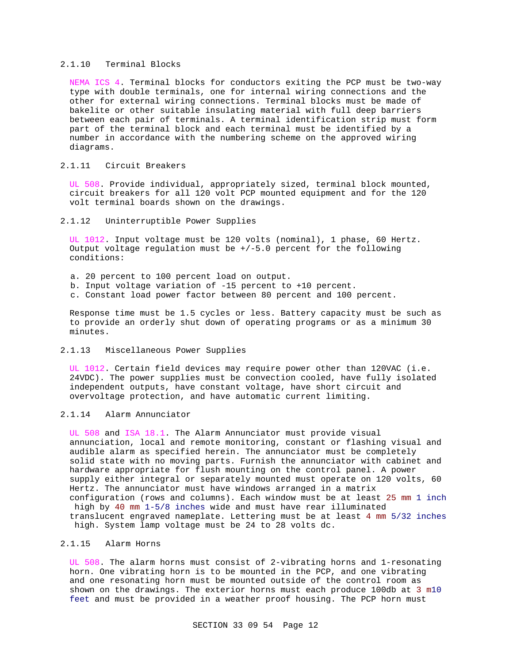### 2.1.10 Terminal Blocks

NEMA ICS 4. Terminal blocks for conductors exiting the PCP must be two-way type with double terminals, one for internal wiring connections and the other for external wiring connections. Terminal blocks must be made of bakelite or other suitable insulating material with full deep barriers between each pair of terminals. A terminal identification strip must form part of the terminal block and each terminal must be identified by a number in accordance with the numbering scheme on the approved wiring diagrams.

## 2.1.11 Circuit Breakers

UL 508. Provide individual, appropriately sized, terminal block mounted, circuit breakers for all 120 volt PCP mounted equipment and for the 120 volt terminal boards shown on the drawings.

### 2.1.12 Uninterruptible Power Supplies

UL 1012. Input voltage must be 120 volts (nominal), 1 phase, 60 Hertz. Output voltage regulation must be  $+/-5.0$  percent for the following conditions:

- a. 20 percent to 100 percent load on output.
- b. Input voltage variation of -15 percent to +10 percent.
- c. Constant load power factor between 80 percent and 100 percent.

Response time must be 1.5 cycles or less. Battery capacity must be such as to provide an orderly shut down of operating programs or as a minimum 30 minutes.

### 2.1.13 Miscellaneous Power Supplies

UL 1012. Certain field devices may require power other than 120VAC (i.e. 24VDC). The power supplies must be convection cooled, have fully isolated independent outputs, have constant voltage, have short circuit and overvoltage protection, and have automatic current limiting.

# 2.1.14 Alarm Annunciator

UL 508 and ISA 18.1. The Alarm Annunciator must provide visual annunciation, local and remote monitoring, constant or flashing visual and audible alarm as specified herein. The annunciator must be completely solid state with no moving parts. Furnish the annunciator with cabinet and hardware appropriate for flush mounting on the control panel. A power supply either integral or separately mounted must operate on 120 volts, 60 Hertz. The annunciator must have windows arranged in a matrix configuration (rows and columns). Each window must be at least 25 mm 1 inch high by 40 mm 1-5/8 inches wide and must have rear illuminated translucent engraved nameplate. Lettering must be at least 4 mm 5/32 inches high. System lamp voltage must be 24 to 28 volts dc.

## 2.1.15 Alarm Horns

UL 508. The alarm horns must consist of 2-vibrating horns and 1-resonating horn. One vibrating horn is to be mounted in the PCP, and one vibrating and one resonating horn must be mounted outside of the control room as shown on the drawings. The exterior horns must each produce 100db at 3 m10 feet and must be provided in a weather proof housing. The PCP horn must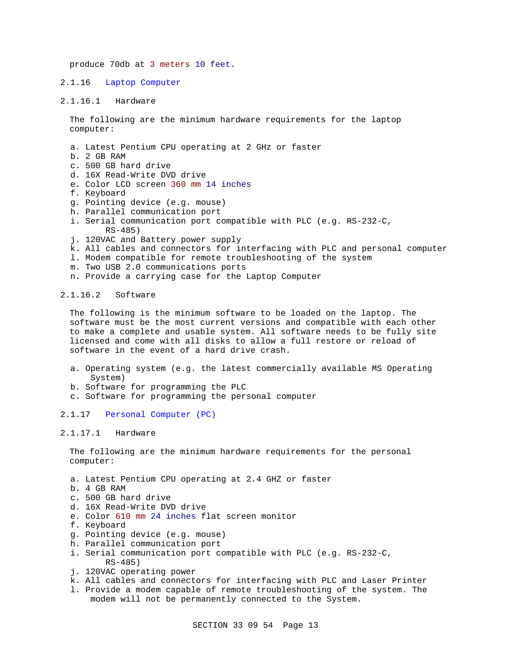produce 70db at 3 meters 10 feet.

#### 2.1.16 Laptop Computer

### 2.1.16.1 Hardware

The following are the minimum hardware requirements for the laptop computer:

- a. Latest Pentium CPU operating at 2 GHz or faster
- b. 2 GB RAM
- c. 500 GB hard drive
- d. 16X Read-Write DVD drive
- e. Color LCD screen 360 mm 14 inches
- f. Keyboard
- g. Pointing device (e.g. mouse)
- h. Parallel communication port
- i. Serial communication port compatible with PLC (e.g. RS-232-C, RS-485)
- j. 120VAC and Battery power supply
- k. All cables and connectors for interfacing with PLC and personal computer
- l. Modem compatible for remote troubleshooting of the system
- m. Two USB 2.0 communications ports
- n. Provide a carrying case for the Laptop Computer

### 2.1.16.2 Software

The following is the minimum software to be loaded on the laptop. The software must be the most current versions and compatible with each other to make a complete and usable system. All software needs to be fully site licensed and come with all disks to allow a full restore or reload of software in the event of a hard drive crash.

- a. Operating system (e.g. the latest commercially available MS Operating System)
- b. Software for programming the PLC
- c. Software for programming the personal computer

### 2.1.17 Personal Computer (PC)

### 2.1.17.1 Hardware

The following are the minimum hardware requirements for the personal computer:

- a. Latest Pentium CPU operating at 2.4 GHZ or faster
- b. 4 GB RAM
- c. 500 GB hard drive
- d. 16X Read-Write DVD drive
- e. Color 610 mm 24 inches flat screen monitor
- f. Keyboard
- g. Pointing device (e.g. mouse)
- h. Parallel communication port
- i. Serial communication port compatible with PLC (e.g. RS-232-C, RS-485)
- j. 120VAC operating power
- k. All cables and connectors for interfacing with PLC and Laser Printer
- l. Provide a modem capable of remote troubleshooting of the system. The modem will not be permanently connected to the System.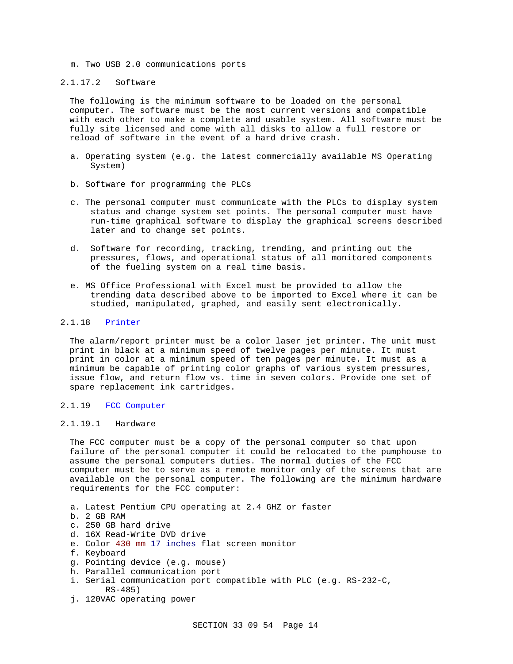m. Two USB 2.0 communications ports

### 2.1.17.2 Software

The following is the minimum software to be loaded on the personal computer. The software must be the most current versions and compatible with each other to make a complete and usable system. All software must be fully site licensed and come with all disks to allow a full restore or reload of software in the event of a hard drive crash.

- a. Operating system (e.g. the latest commercially available MS Operating System)
- b. Software for programming the PLCs
- c. The personal computer must communicate with the PLCs to display system status and change system set points. The personal computer must have run-time graphical software to display the graphical screens described later and to change set points.
- d. Software for recording, tracking, trending, and printing out the pressures, flows, and operational status of all monitored components of the fueling system on a real time basis.
- e. MS Office Professional with Excel must be provided to allow the trending data described above to be imported to Excel where it can be studied, manipulated, graphed, and easily sent electronically.

### 2.1.18 Printer

The alarm/report printer must be a color laser jet printer. The unit must print in black at a minimum speed of twelve pages per minute. It must print in color at a minimum speed of ten pages per minute. It must as a minimum be capable of printing color graphs of various system pressures, issue flow, and return flow vs. time in seven colors. Provide one set of spare replacement ink cartridges.

### 2.1.19 FCC Computer

## 2.1.19.1 Hardware

The FCC computer must be a copy of the personal computer so that upon failure of the personal computer it could be relocated to the pumphouse to assume the personal computers duties. The normal duties of the FCC computer must be to serve as a remote monitor only of the screens that are available on the personal computer. The following are the minimum hardware requirements for the FCC computer:

- a. Latest Pentium CPU operating at 2.4 GHZ or faster
- b. 2 GB RAM
- c. 250 GB hard drive
- d. 16X Read-Write DVD drive
- e. Color 430 mm 17 inches flat screen monitor
- f. Keyboard
- g. Pointing device (e.g. mouse)
- h. Parallel communication port
- i. Serial communication port compatible with PLC (e.g. RS-232-C, RS-485)
- j. 120VAC operating power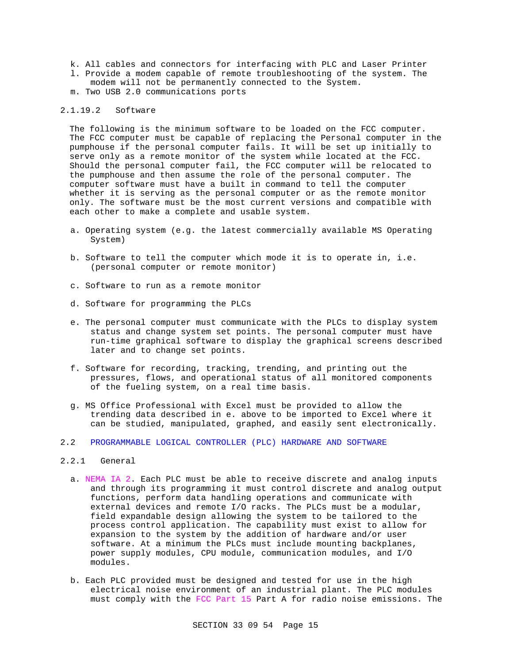- k. All cables and connectors for interfacing with PLC and Laser Printer l. Provide a modem capable of remote troubleshooting of the system. The modem will not be permanently connected to the System.
- m. Two USB 2.0 communications ports

### 2.1.19.2 Software

The following is the minimum software to be loaded on the FCC computer. The FCC computer must be capable of replacing the Personal computer in the pumphouse if the personal computer fails. It will be set up initially to serve only as a remote monitor of the system while located at the FCC. Should the personal computer fail, the FCC computer will be relocated to the pumphouse and then assume the role of the personal computer. The computer software must have a built in command to tell the computer whether it is serving as the personal computer or as the remote monitor only. The software must be the most current versions and compatible with each other to make a complete and usable system.

- a. Operating system (e.g. the latest commercially available MS Operating System)
- b. Software to tell the computer which mode it is to operate in, i.e. (personal computer or remote monitor)
- c. Software to run as a remote monitor
- d. Software for programming the PLCs
- e. The personal computer must communicate with the PLCs to display system status and change system set points. The personal computer must have run-time graphical software to display the graphical screens described later and to change set points.
- f. Software for recording, tracking, trending, and printing out the pressures, flows, and operational status of all monitored components of the fueling system, on a real time basis.
- g. MS Office Professional with Excel must be provided to allow the trending data described in e. above to be imported to Excel where it can be studied, manipulated, graphed, and easily sent electronically.
- 2.2 PROGRAMMABLE LOGICAL CONTROLLER (PLC) HARDWARE AND SOFTWARE
- 2.2.1 General
	- a. NEMA IA 2. Each PLC must be able to receive discrete and analog inputs and through its programming it must control discrete and analog output functions, perform data handling operations and communicate with external devices and remote I/O racks. The PLCs must be a modular, field expandable design allowing the system to be tailored to the process control application. The capability must exist to allow for expansion to the system by the addition of hardware and/or user software. At a minimum the PLCs must include mounting backplanes, power supply modules, CPU module, communication modules, and I/O modules.
	- b. Each PLC provided must be designed and tested for use in the high electrical noise environment of an industrial plant. The PLC modules must comply with the FCC Part 15 Part A for radio noise emissions. The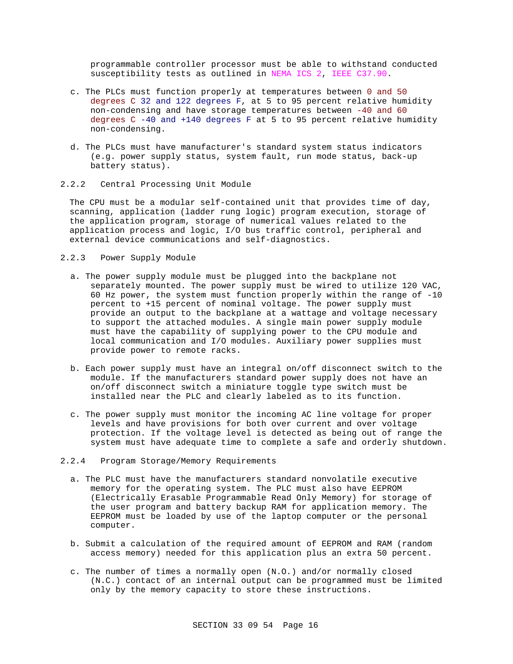programmable controller processor must be able to withstand conducted susceptibility tests as outlined in NEMA ICS 2, IEEE C37.90.

- c. The PLCs must function properly at temperatures between 0 and 50 degrees C 32 and 122 degrees F, at 5 to 95 percent relative humidity non-condensing and have storage temperatures between -40 and 60 degrees  $C - 40$  and  $+140$  degrees F at 5 to 95 percent relative humidity non-condensing.
- d. The PLCs must have manufacturer's standard system status indicators (e.g. power supply status, system fault, run mode status, back-up battery status).
- 2.2.2 Central Processing Unit Module

The CPU must be a modular self-contained unit that provides time of day, scanning, application (ladder rung logic) program execution, storage of the application program, storage of numerical values related to the application process and logic, I/O bus traffic control, peripheral and external device communications and self-diagnostics.

- 2.2.3 Power Supply Module
	- a. The power supply module must be plugged into the backplane not separately mounted. The power supply must be wired to utilize 120 VAC, 60 Hz power, the system must function properly within the range of -10 percent to +15 percent of nominal voltage. The power supply must provide an output to the backplane at a wattage and voltage necessary to support the attached modules. A single main power supply module must have the capability of supplying power to the CPU module and local communication and I/O modules. Auxiliary power supplies must provide power to remote racks.
	- b. Each power supply must have an integral on/off disconnect switch to the module. If the manufacturers standard power supply does not have an on/off disconnect switch a miniature toggle type switch must be installed near the PLC and clearly labeled as to its function.
	- c. The power supply must monitor the incoming AC line voltage for proper levels and have provisions for both over current and over voltage protection. If the voltage level is detected as being out of range the system must have adequate time to complete a safe and orderly shutdown.
- 2.2.4 Program Storage/Memory Requirements
	- a. The PLC must have the manufacturers standard nonvolatile executive memory for the operating system. The PLC must also have EEPROM (Electrically Erasable Programmable Read Only Memory) for storage of the user program and battery backup RAM for application memory. The EEPROM must be loaded by use of the laptop computer or the personal computer.
	- b. Submit a calculation of the required amount of EEPROM and RAM (random access memory) needed for this application plus an extra 50 percent.
	- c. The number of times a normally open (N.O.) and/or normally closed (N.C.) contact of an internal output can be programmed must be limited only by the memory capacity to store these instructions.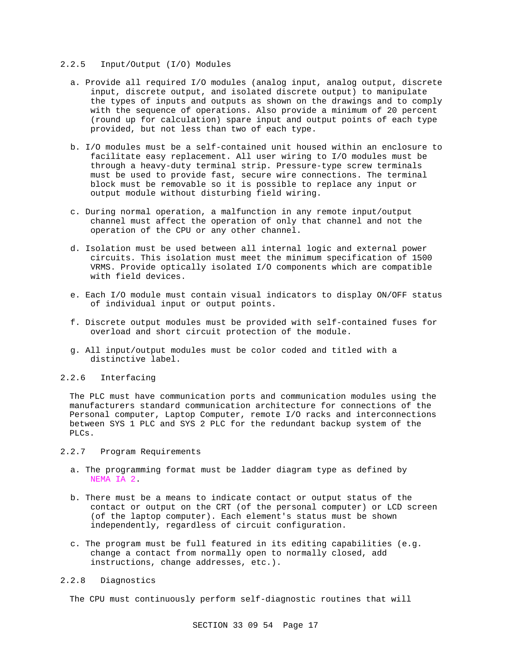## 2.2.5 Input/Output (I/O) Modules

- a. Provide all required I/O modules (analog input, analog output, discrete input, discrete output, and isolated discrete output) to manipulate the types of inputs and outputs as shown on the drawings and to comply with the sequence of operations. Also provide a minimum of 20 percent (round up for calculation) spare input and output points of each type provided, but not less than two of each type.
- b. I/O modules must be a self-contained unit housed within an enclosure to facilitate easy replacement. All user wiring to I/O modules must be through a heavy-duty terminal strip. Pressure-type screw terminals must be used to provide fast, secure wire connections. The terminal block must be removable so it is possible to replace any input or output module without disturbing field wiring.
- c. During normal operation, a malfunction in any remote input/output channel must affect the operation of only that channel and not the operation of the CPU or any other channel.
- d. Isolation must be used between all internal logic and external power circuits. This isolation must meet the minimum specification of 1500 VRMS. Provide optically isolated I/O components which are compatible with field devices.
- e. Each I/O module must contain visual indicators to display ON/OFF status of individual input or output points.
- f. Discrete output modules must be provided with self-contained fuses for overload and short circuit protection of the module.
- g. All input/output modules must be color coded and titled with a distinctive label.

### 2.2.6 Interfacing

The PLC must have communication ports and communication modules using the manufacturers standard communication architecture for connections of the Personal computer, Laptop Computer, remote I/O racks and interconnections between SYS 1 PLC and SYS 2 PLC for the redundant backup system of the PLCs.

### 2.2.7 Program Requirements

- a. The programming format must be ladder diagram type as defined by NEMA IA 2.
- b. There must be a means to indicate contact or output status of the contact or output on the CRT (of the personal computer) or LCD screen (of the laptop computer). Each element's status must be shown independently, regardless of circuit configuration.
- c. The program must be full featured in its editing capabilities (e.g. change a contact from normally open to normally closed, add instructions, change addresses, etc.).

## 2.2.8 Diagnostics

The CPU must continuously perform self-diagnostic routines that will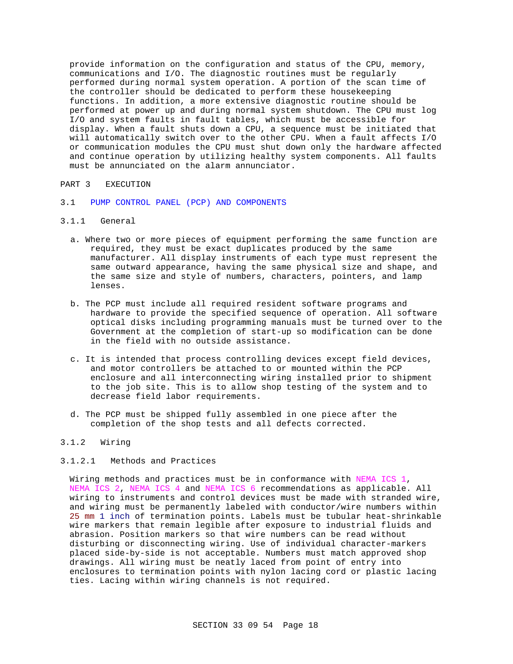provide information on the configuration and status of the CPU, memory, communications and I/O. The diagnostic routines must be regularly performed during normal system operation. A portion of the scan time of the controller should be dedicated to perform these housekeeping functions. In addition, a more extensive diagnostic routine should be performed at power up and during normal system shutdown. The CPU must log I/O and system faults in fault tables, which must be accessible for display. When a fault shuts down a CPU, a sequence must be initiated that will automatically switch over to the other CPU. When a fault affects I/O or communication modules the CPU must shut down only the hardware affected and continue operation by utilizing healthy system components. All faults must be annunciated on the alarm annunciator.

# PART 3 EXECUTION

- 3.1 PUMP CONTROL PANEL (PCP) AND COMPONENTS
- 3.1.1 General
	- a. Where two or more pieces of equipment performing the same function are required, they must be exact duplicates produced by the same manufacturer. All display instruments of each type must represent the same outward appearance, having the same physical size and shape, and the same size and style of numbers, characters, pointers, and lamp lenses.
	- b. The PCP must include all required resident software programs and hardware to provide the specified sequence of operation. All software optical disks including programming manuals must be turned over to the Government at the completion of start-up so modification can be done in the field with no outside assistance.
	- c. It is intended that process controlling devices except field devices, and motor controllers be attached to or mounted within the PCP enclosure and all interconnecting wiring installed prior to shipment to the job site. This is to allow shop testing of the system and to decrease field labor requirements.
	- d. The PCP must be shipped fully assembled in one piece after the completion of the shop tests and all defects corrected.

### 3.1.2 Wiring

### 3.1.2.1 Methods and Practices

Wiring methods and practices must be in conformance with NEMA ICS 1, NEMA ICS 2, NEMA ICS 4 and NEMA ICS 6 recommendations as applicable. All wiring to instruments and control devices must be made with stranded wire, and wiring must be permanently labeled with conductor/wire numbers within 25 mm 1 inch of termination points. Labels must be tubular heat-shrinkable wire markers that remain legible after exposure to industrial fluids and abrasion. Position markers so that wire numbers can be read without disturbing or disconnecting wiring. Use of individual character-markers placed side-by-side is not acceptable. Numbers must match approved shop drawings. All wiring must be neatly laced from point of entry into enclosures to termination points with nylon lacing cord or plastic lacing ties. Lacing within wiring channels is not required.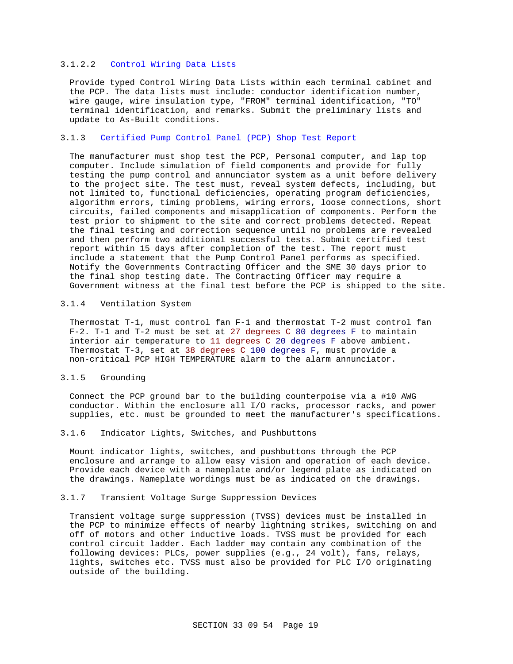## 3.1.2.2 Control Wiring Data Lists

Provide typed Control Wiring Data Lists within each terminal cabinet and the PCP. The data lists must include: conductor identification number, wire gauge, wire insulation type, "FROM" terminal identification, "TO" terminal identification, and remarks. Submit the preliminary lists and update to As-Built conditions.

### 3.1.3 Certified Pump Control Panel (PCP) Shop Test Report

The manufacturer must shop test the PCP, Personal computer, and lap top computer. Include simulation of field components and provide for fully testing the pump control and annunciator system as a unit before delivery to the project site. The test must, reveal system defects, including, but not limited to, functional deficiencies, operating program deficiencies, algorithm errors, timing problems, wiring errors, loose connections, short circuits, failed components and misapplication of components. Perform the test prior to shipment to the site and correct problems detected. Repeat the final testing and correction sequence until no problems are revealed and then perform two additional successful tests. Submit certified test report within 15 days after completion of the test. The report must include a statement that the Pump Control Panel performs as specified. Notify the Governments Contracting Officer and the SME 30 days prior to the final shop testing date. The Contracting Officer may require a Government witness at the final test before the PCP is shipped to the site.

### 3.1.4 Ventilation System

Thermostat T-1, must control fan F-1 and thermostat T-2 must control fan F-2. T-1 and T-2 must be set at 27 degrees C 80 degrees F to maintain interior air temperature to 11 degrees C 20 degrees F above ambient. Thermostat T-3, set at 38 degrees C 100 degrees F, must provide a non-critical PCP HIGH TEMPERATURE alarm to the alarm annunciator.

### 3.1.5 Grounding

Connect the PCP ground bar to the building counterpoise via a #10 AWG conductor. Within the enclosure all I/O racks, processor racks, and power supplies, etc. must be grounded to meet the manufacturer's specifications.

### 3.1.6 Indicator Lights, Switches, and Pushbuttons

Mount indicator lights, switches, and pushbuttons through the PCP enclosure and arrange to allow easy vision and operation of each device. Provide each device with a nameplate and/or legend plate as indicated on the drawings. Nameplate wordings must be as indicated on the drawings.

### 3.1.7 Transient Voltage Surge Suppression Devices

Transient voltage surge suppression (TVSS) devices must be installed in the PCP to minimize effects of nearby lightning strikes, switching on and off of motors and other inductive loads. TVSS must be provided for each control circuit ladder. Each ladder may contain any combination of the following devices: PLCs, power supplies (e.g., 24 volt), fans, relays, lights, switches etc. TVSS must also be provided for PLC I/O originating outside of the building.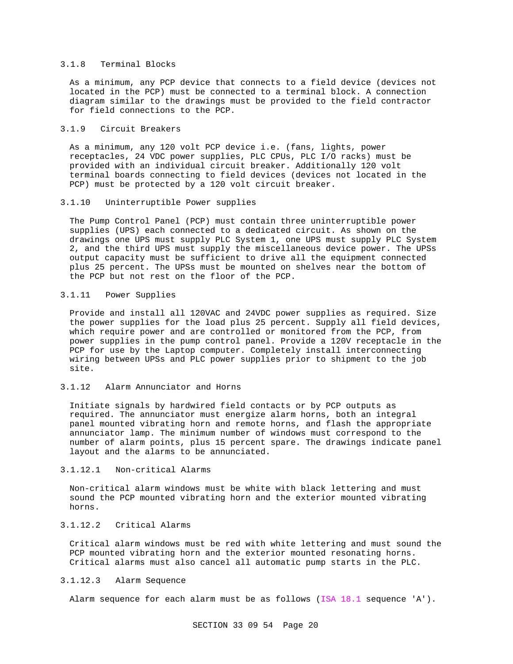### 3.1.8 Terminal Blocks

As a minimum, any PCP device that connects to a field device (devices not located in the PCP) must be connected to a terminal block. A connection diagram similar to the drawings must be provided to the field contractor for field connections to the PCP.

### 3.1.9 Circuit Breakers

As a minimum, any 120 volt PCP device i.e. (fans, lights, power receptacles, 24 VDC power supplies, PLC CPUs, PLC I/O racks) must be provided with an individual circuit breaker. Additionally 120 volt terminal boards connecting to field devices (devices not located in the PCP) must be protected by a 120 volt circuit breaker.

### 3.1.10 Uninterruptible Power supplies

The Pump Control Panel (PCP) must contain three uninterruptible power supplies (UPS) each connected to a dedicated circuit. As shown on the drawings one UPS must supply PLC System 1, one UPS must supply PLC System 2, and the third UPS must supply the miscellaneous device power. The UPSs output capacity must be sufficient to drive all the equipment connected plus 25 percent. The UPSs must be mounted on shelves near the bottom of the PCP but not rest on the floor of the PCP.

## 3.1.11 Power Supplies

Provide and install all 120VAC and 24VDC power supplies as required. Size the power supplies for the load plus 25 percent. Supply all field devices, which require power and are controlled or monitored from the PCP, from power supplies in the pump control panel. Provide a 120V receptacle in the PCP for use by the Laptop computer. Completely install interconnecting wiring between UPSs and PLC power supplies prior to shipment to the job site.

## 3.1.12 Alarm Annunciator and Horns

Initiate signals by hardwired field contacts or by PCP outputs as required. The annunciator must energize alarm horns, both an integral panel mounted vibrating horn and remote horns, and flash the appropriate annunciator lamp. The minimum number of windows must correspond to the number of alarm points, plus 15 percent spare. The drawings indicate panel layout and the alarms to be annunciated.

### 3.1.12.1 Non-critical Alarms

Non-critical alarm windows must be white with black lettering and must sound the PCP mounted vibrating horn and the exterior mounted vibrating horns.

# 3.1.12.2 Critical Alarms

Critical alarm windows must be red with white lettering and must sound the PCP mounted vibrating horn and the exterior mounted resonating horns. Critical alarms must also cancel all automatic pump starts in the PLC.

## 3.1.12.3 Alarm Sequence

Alarm sequence for each alarm must be as follows (ISA 18.1 sequence 'A').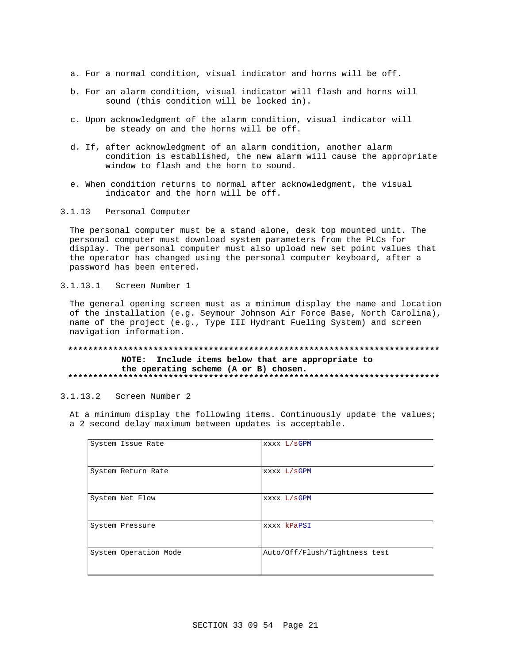- a. For a normal condition, visual indicator and horns will be off.
- b. For an alarm condition, visual indicator will flash and horns will sound (this condition will be locked in).
- c. Upon acknowledgment of the alarm condition, visual indicator will be steady on and the horns will be off.
- d. If, after acknowledgment of an alarm condition, another alarm condition is established, the new alarm will cause the appropriate window to flash and the horn to sound.
- e. When condition returns to normal after acknowledgment, the visual indicator and the horn will be off.
- 3.1.13 Personal Computer

The personal computer must be a stand alone, desk top mounted unit. The personal computer must download system parameters from the PLCs for display. The personal computer must also upload new set point values that the operator has changed using the personal computer keyboard, after a password has been entered.

3.1.13.1 Screen Number 1

The general opening screen must as a minimum display the name and location of the installation (e.g. Seymour Johnson Air Force Base, North Carolina), name of the project (e.g., Type III Hydrant Fueling System) and screen navigation information.

## **\*\*\*\*\*\*\*\*\*\*\*\*\*\*\*\*\*\*\*\*\*\*\*\*\*\*\*\*\*\*\*\*\*\*\*\*\*\*\*\*\*\*\*\*\*\*\*\*\*\*\*\*\*\*\*\*\*\*\*\*\*\*\*\*\*\*\*\*\*\*\*\*\*\* NOTE: Include items below that are appropriate to the operating scheme (A or B) chosen. \*\*\*\*\*\*\*\*\*\*\*\*\*\*\*\*\*\*\*\*\*\*\*\*\*\*\*\*\*\*\*\*\*\*\*\*\*\*\*\*\*\*\*\*\*\*\*\*\*\*\*\*\*\*\*\*\*\*\*\*\*\*\*\*\*\*\*\*\*\*\*\*\*\***

3.1.13.2 Screen Number 2

At a minimum display the following items. Continuously update the values; a 2 second delay maximum between updates is acceptable.

| System Issue Rate     | XXXX L/SGPM                   |
|-----------------------|-------------------------------|
| System Return Rate    | XXXX L/SGPM                   |
| System Net Flow       | XXXX L/SGPM                   |
| System Pressure       | xxxx kPaPSI                   |
| System Operation Mode | Auto/Off/Flush/Tightness test |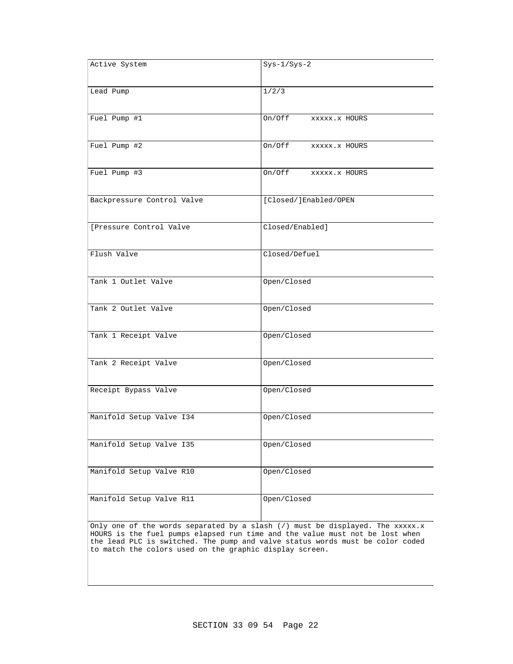| Active System                                                                                                                                                                                                                                                                                                           | $Sys-1/Sys-2$           |  |  |
|-------------------------------------------------------------------------------------------------------------------------------------------------------------------------------------------------------------------------------------------------------------------------------------------------------------------------|-------------------------|--|--|
| Lead Pump                                                                                                                                                                                                                                                                                                               | 1/2/3                   |  |  |
| Fuel Pump #1                                                                                                                                                                                                                                                                                                            | On/Off xxxxx.x HOURS    |  |  |
| Fuel Pump #2                                                                                                                                                                                                                                                                                                            | On/Off<br>XXXXX.X HOURS |  |  |
| Fuel Pump #3                                                                                                                                                                                                                                                                                                            | On/Off xxxxx.x HOURS    |  |  |
| Backpressure Control Valve                                                                                                                                                                                                                                                                                              | [Closed/]Enabled/OPEN   |  |  |
| [Pressure Control Valve                                                                                                                                                                                                                                                                                                 | Closed/Enabled]         |  |  |
| Flush Valve                                                                                                                                                                                                                                                                                                             | Closed/Defuel           |  |  |
| Tank 1 Outlet Valve                                                                                                                                                                                                                                                                                                     | Open/Closed             |  |  |
| Tank 2 Outlet Valve                                                                                                                                                                                                                                                                                                     | Open/Closed             |  |  |
| Tank 1 Receipt Valve                                                                                                                                                                                                                                                                                                    | Open/Closed             |  |  |
| Tank 2 Receipt Valve                                                                                                                                                                                                                                                                                                    | Open/Closed             |  |  |
| Receipt Bypass Valve                                                                                                                                                                                                                                                                                                    | Open/Closed             |  |  |
| Manifold Setup Valve I34                                                                                                                                                                                                                                                                                                | Open/Closed             |  |  |
| Manifold Setup Valve I35                                                                                                                                                                                                                                                                                                | Open/Closed             |  |  |
| Manifold Setup Valve R10                                                                                                                                                                                                                                                                                                | Open/Closed             |  |  |
| Manifold Setup Valve R11                                                                                                                                                                                                                                                                                                | Open/Closed             |  |  |
| Only one of the words separated by a slash $\langle \rangle$ must be displayed. The xxxxx.x<br>HOURS is the fuel pumps elapsed run time and the value must not be lost when<br>the lead PLC is switched. The pump and valve status words must be color coded<br>to match the colors used on the graphic display screen. |                         |  |  |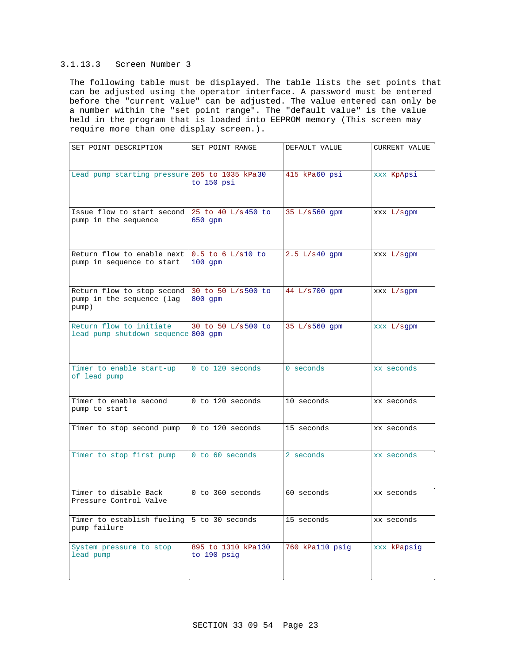## 3.1.13.3 Screen Number 3

The following table must be displayed. The table lists the set points that can be adjusted using the operator interface. A password must be entered before the "current value" can be adjusted. The value entered can only be a number within the "set point range". The "default value" is the value held in the program that is loaded into EEPROM memory (This screen may require more than one display screen.).

| SET POINT DESCRIPTION                                            | SET POINT RANGE                   | DEFAULT VALUE   | CURRENT VALUE |
|------------------------------------------------------------------|-----------------------------------|-----------------|---------------|
| Lead pump starting pressure 205 to 1035 kPa30                    | to 150 psi                        | 415 kPa60 psi   | xxx KpApsi    |
| Issue flow to start second<br>pump in the sequence               | 25 to 40 L/s 450 to<br>$650$ qpm  | 35 L/s560 gpm   | XXX L/sqpm    |
| Return flow to enable next<br>pump in sequence to start          | $0.5$ to 6 L/s10 to<br>$100$ qpm  | 2.5 L/s40 gpm   | XXX L/sgpm    |
| Return flow to stop second<br>pump in the sequence (lag<br>pump) | 30 to 50 L/s500 to<br>800 qpm     | 44 L/s700 qpm   | XXX L/sqpm    |
| Return flow to initiate<br>lead pump shutdown sequence 800 qpm   | 30 to 50 L/s500 to                | 35 L/s560 gpm   | XXX L/sqpm    |
| Timer to enable start-up<br>of lead pump                         | 0 to 120 seconds                  | $0$ seconds     | xx seconds    |
| Timer to enable second<br>pump to start                          | 0 to 120 seconds                  | 10 seconds      | xx seconds    |
| Timer to stop second pump                                        | 0 to 120 seconds                  | 15 seconds      | xx seconds    |
| Timer to stop first pump                                         | 0 to 60 seconds                   | 2 seconds       | xx seconds    |
| Timer to disable Back<br>Pressure Control Valve                  | 0 to 360 seconds                  | 60 seconds      | xx seconds    |
| Timer to establish fueling<br>pump failure                       | 5 to 30 seconds                   | 15 seconds      | xx seconds    |
| System pressure to stop<br>lead pump                             | 895 to 1310 kPa130<br>to 190 psig | 760 kPa110 psig | xxx kPapsig   |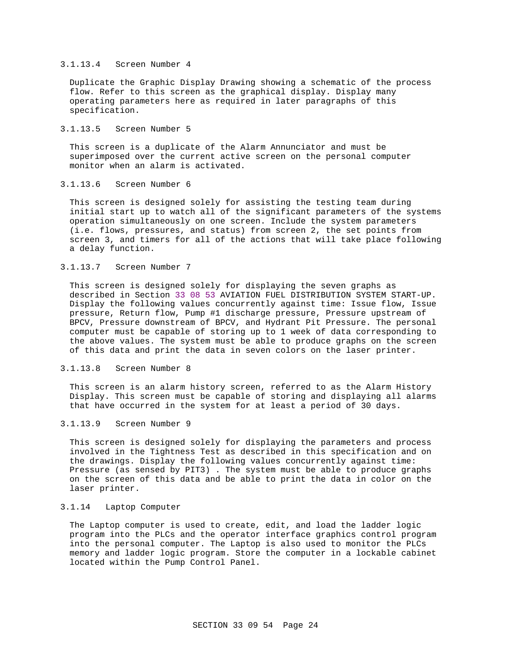### 3.1.13.4 Screen Number 4

Duplicate the Graphic Display Drawing showing a schematic of the process flow. Refer to this screen as the graphical display. Display many operating parameters here as required in later paragraphs of this specification.

### 3.1.13.5 Screen Number 5

This screen is a duplicate of the Alarm Annunciator and must be superimposed over the current active screen on the personal computer monitor when an alarm is activated.

# 3.1.13.6 Screen Number 6

This screen is designed solely for assisting the testing team during initial start up to watch all of the significant parameters of the systems operation simultaneously on one screen. Include the system parameters (i.e. flows, pressures, and status) from screen 2, the set points from screen 3, and timers for all of the actions that will take place following a delay function.

## 3.1.13.7 Screen Number 7

This screen is designed solely for displaying the seven graphs as described in Section 33 08 53 AVIATION FUEL DISTRIBUTION SYSTEM START-UP. Display the following values concurrently against time: Issue flow, Issue pressure, Return flow, Pump #1 discharge pressure, Pressure upstream of BPCV, Pressure downstream of BPCV, and Hydrant Pit Pressure. The personal computer must be capable of storing up to 1 week of data corresponding to the above values. The system must be able to produce graphs on the screen of this data and print the data in seven colors on the laser printer.

### 3.1.13.8 Screen Number 8

This screen is an alarm history screen, referred to as the Alarm History Display. This screen must be capable of storing and displaying all alarms that have occurred in the system for at least a period of 30 days.

## 3.1.13.9 Screen Number 9

This screen is designed solely for displaying the parameters and process involved in the Tightness Test as described in this specification and on the drawings. Display the following values concurrently against time: Pressure (as sensed by PIT3) . The system must be able to produce graphs on the screen of this data and be able to print the data in color on the laser printer.

## 3.1.14 Laptop Computer

The Laptop computer is used to create, edit, and load the ladder logic program into the PLCs and the operator interface graphics control program into the personal computer. The Laptop is also used to monitor the PLCs memory and ladder logic program. Store the computer in a lockable cabinet located within the Pump Control Panel.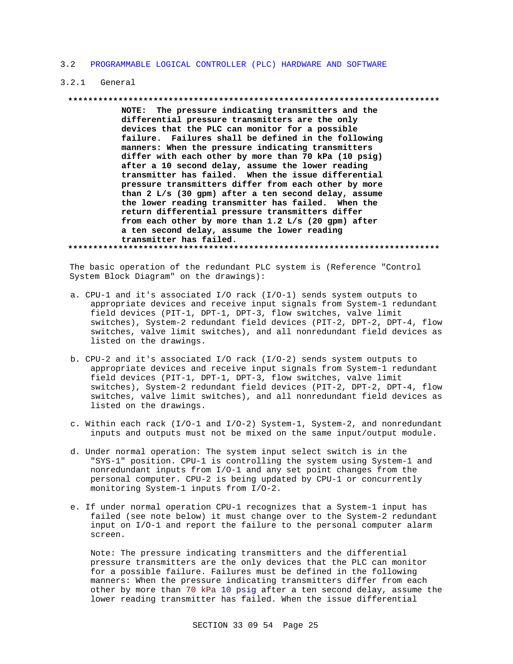### 3.2 PROGRAMMABLE LOGICAL CONTROLLER (PLC) HARDWARE AND SOFTWARE

### 3.2.1 General

#### **\*\*\*\*\*\*\*\*\*\*\*\*\*\*\*\*\*\*\*\*\*\*\*\*\*\*\*\*\*\*\*\*\*\*\*\*\*\*\*\*\*\*\*\*\*\*\*\*\*\*\*\*\*\*\*\*\*\*\*\*\*\*\*\*\*\*\*\*\*\*\*\*\*\***

**NOTE: The pressure indicating transmitters and the differential pressure transmitters are the only devices that the PLC can monitor for a possible failure. Failures shall be defined in the following manners: When the pressure indicating transmitters differ with each other by more than 70 kPa (10 psig) after a 10 second delay, assume the lower reading transmitter has failed. When the issue differential pressure transmitters differ from each other by more than 2 L/s (30 gpm) after a ten second delay, assume the lower reading transmitter has failed. When the return differential pressure transmitters differ from each other by more than 1.2 L/s (20 gpm) after a ten second delay, assume the lower reading transmitter has failed.**

**\*\*\*\*\*\*\*\*\*\*\*\*\*\*\*\*\*\*\*\*\*\*\*\*\*\*\*\*\*\*\*\*\*\*\*\*\*\*\*\*\*\*\*\*\*\*\*\*\*\*\*\*\*\*\*\*\*\*\*\*\*\*\*\*\*\*\*\*\*\*\*\*\*\***

The basic operation of the redundant PLC system is (Reference "Control System Block Diagram" on the drawings):

- a. CPU-1 and it's associated I/O rack (I/O-1) sends system outputs to appropriate devices and receive input signals from System-1 redundant field devices (PIT-1, DPT-1, DPT-3, flow switches, valve limit switches), System-2 redundant field devices (PIT-2, DPT-2, DPT-4, flow switches, valve limit switches), and all nonredundant field devices as listed on the drawings.
- b. CPU-2 and it's associated I/O rack (I/O-2) sends system outputs to appropriate devices and receive input signals from System-1 redundant field devices (PIT-1, DPT-1, DPT-3, flow switches, valve limit switches), System-2 redundant field devices (PIT-2, DPT-2, DPT-4, flow switches, valve limit switches), and all nonredundant field devices as listed on the drawings.
- c. Within each rack (I/O-1 and I/O-2) System-1, System-2, and nonredundant inputs and outputs must not be mixed on the same input/output module.
- d. Under normal operation: The system input select switch is in the "SYS-1" position. CPU-1 is controlling the system using System-1 and nonredundant inputs from I/O-1 and any set point changes from the personal computer. CPU-2 is being updated by CPU-1 or concurrently monitoring System-1 inputs from I/O-2.
- e. If under normal operation CPU-1 recognizes that a System-1 input has failed (see note below) it must change over to the System-2 redundant input on I/O-1 and report the failure to the personal computer alarm screen.

Note: The pressure indicating transmitters and the differential pressure transmitters are the only devices that the PLC can monitor for a possible failure. Failures must be defined in the following manners: When the pressure indicating transmitters differ from each other by more than 70 kPa 10 psig after a ten second delay, assume the lower reading transmitter has failed. When the issue differential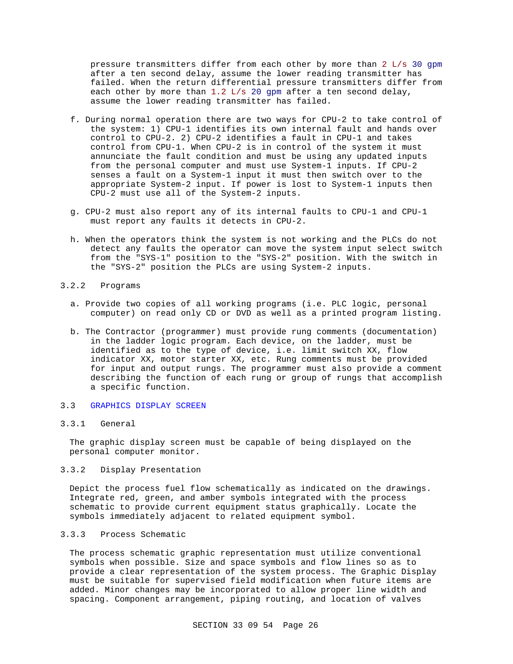pressure transmitters differ from each other by more than 2 L/s 30 gpm after a ten second delay, assume the lower reading transmitter has failed. When the return differential pressure transmitters differ from each other by more than 1.2  $L/s$  20 gpm after a ten second delay, assume the lower reading transmitter has failed.

- f. During normal operation there are two ways for CPU-2 to take control of the system: 1) CPU-1 identifies its own internal fault and hands over control to CPU-2. 2) CPU-2 identifies a fault in CPU-1 and takes control from CPU-1. When CPU-2 is in control of the system it must annunciate the fault condition and must be using any updated inputs from the personal computer and must use System-1 inputs. If CPU-2 senses a fault on a System-1 input it must then switch over to the appropriate System-2 input. If power is lost to System-1 inputs then CPU-2 must use all of the System-2 inputs.
- g. CPU-2 must also report any of its internal faults to CPU-1 and CPU-1 must report any faults it detects in CPU-2.
- h. When the operators think the system is not working and the PLCs do not detect any faults the operator can move the system input select switch from the "SYS-1" position to the "SYS-2" position. With the switch in the "SYS-2" position the PLCs are using System-2 inputs.
- 3.2.2 Programs
	- a. Provide two copies of all working programs (i.e. PLC logic, personal computer) on read only CD or DVD as well as a printed program listing.
	- b. The Contractor (programmer) must provide rung comments (documentation) in the ladder logic program. Each device, on the ladder, must be identified as to the type of device, i.e. limit switch XX, flow indicator XX, motor starter XX, etc. Rung comments must be provided for input and output rungs. The programmer must also provide a comment describing the function of each rung or group of rungs that accomplish a specific function.
- 3.3 GRAPHICS DISPLAY SCREEN

## 3.3.1 General

The graphic display screen must be capable of being displayed on the personal computer monitor.

3.3.2 Display Presentation

Depict the process fuel flow schematically as indicated on the drawings. Integrate red, green, and amber symbols integrated with the process schematic to provide current equipment status graphically. Locate the symbols immediately adjacent to related equipment symbol.

# 3.3.3 Process Schematic

The process schematic graphic representation must utilize conventional symbols when possible. Size and space symbols and flow lines so as to provide a clear representation of the system process. The Graphic Display must be suitable for supervised field modification when future items are added. Minor changes may be incorporated to allow proper line width and spacing. Component arrangement, piping routing, and location of valves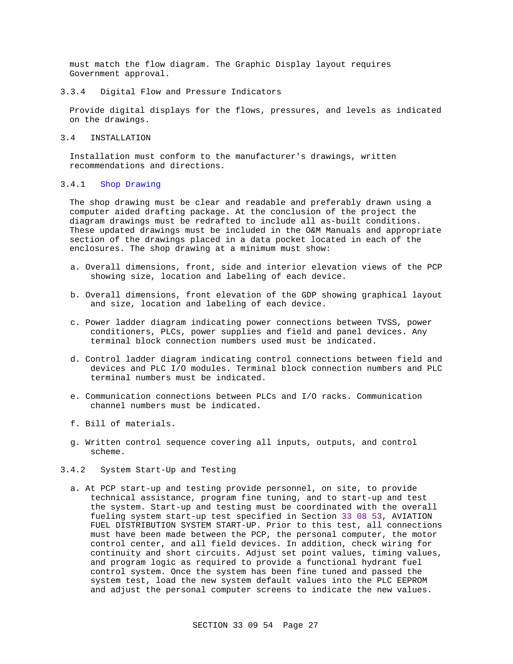must match the flow diagram. The Graphic Display layout requires Government approval.

3.3.4 Digital Flow and Pressure Indicators

Provide digital displays for the flows, pressures, and levels as indicated on the drawings.

3.4 INSTALLATION

Installation must conform to the manufacturer's drawings, written recommendations and directions.

### 3.4.1 Shop Drawing

The shop drawing must be clear and readable and preferably drawn using a computer aided drafting package. At the conclusion of the project the diagram drawings must be redrafted to include all as-built conditions. These updated drawings must be included in the O&M Manuals and appropriate section of the drawings placed in a data pocket located in each of the enclosures. The shop drawing at a minimum must show:

- a. Overall dimensions, front, side and interior elevation views of the PCP showing size, location and labeling of each device.
- b. Overall dimensions, front elevation of the GDP showing graphical layout and size, location and labeling of each device.
- c. Power ladder diagram indicating power connections between TVSS, power conditioners, PLCs, power supplies and field and panel devices. Any terminal block connection numbers used must be indicated.
- d. Control ladder diagram indicating control connections between field and devices and PLC I/O modules. Terminal block connection numbers and PLC terminal numbers must be indicated.
- e. Communication connections between PLCs and I/O racks. Communication channel numbers must be indicated.
- f. Bill of materials.
- g. Written control sequence covering all inputs, outputs, and control scheme.
- 3.4.2 System Start-Up and Testing
	- a. At PCP start-up and testing provide personnel, on site, to provide technical assistance, program fine tuning, and to start-up and test the system. Start-up and testing must be coordinated with the overall fueling system start-up test specified in Section 33 08 53, AVIATION FUEL DISTRIBUTION SYSTEM START-UP. Prior to this test, all connections must have been made between the PCP, the personal computer, the motor control center, and all field devices. In addition, check wiring for continuity and short circuits. Adjust set point values, timing values, and program logic as required to provide a functional hydrant fuel control system. Once the system has been fine tuned and passed the system test, load the new system default values into the PLC EEPROM and adjust the personal computer screens to indicate the new values.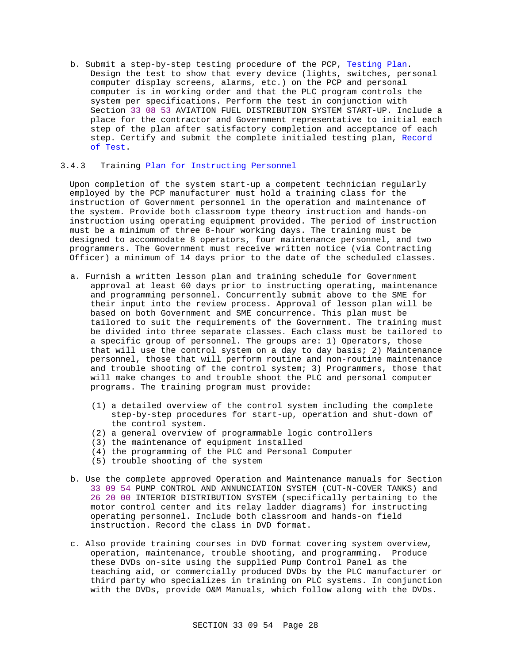b. Submit a step-by-step testing procedure of the PCP, Testing Plan. Design the test to show that every device (lights, switches, personal computer display screens, alarms, etc.) on the PCP and personal computer is in working order and that the PLC program controls the system per specifications. Perform the test in conjunction with Section 33 08 53 AVIATION FUEL DISTRIBUTION SYSTEM START-UP. Include a place for the contractor and Government representative to initial each step of the plan after satisfactory completion and acceptance of each step. Certify and submit the complete initialed testing plan, Record of Test.

### 3.4.3 Training Plan for Instructing Personnel

Upon completion of the system start-up a competent technician regularly employed by the PCP manufacturer must hold a training class for the instruction of Government personnel in the operation and maintenance of the system. Provide both classroom type theory instruction and hands-on instruction using operating equipment provided. The period of instruction must be a minimum of three 8-hour working days. The training must be designed to accommodate 8 operators, four maintenance personnel, and two programmers. The Government must receive written notice (via Contracting Officer) a minimum of 14 days prior to the date of the scheduled classes.

- a. Furnish a written lesson plan and training schedule for Government approval at least 60 days prior to instructing operating, maintenance and programming personnel. Concurrently submit above to the SME for their input into the review process. Approval of lesson plan will be based on both Government and SME concurrence. This plan must be tailored to suit the requirements of the Government. The training must be divided into three separate classes. Each class must be tailored to a specific group of personnel. The groups are: 1) Operators, those that will use the control system on a day to day basis; 2) Maintenance personnel, those that will perform routine and non-routine maintenance and trouble shooting of the control system; 3) Programmers, those that will make changes to and trouble shoot the PLC and personal computer programs. The training program must provide:
	- (1) a detailed overview of the control system including the complete step-by-step procedures for start-up, operation and shut-down of the control system.
	- (2) a general overview of programmable logic controllers
	- (3) the maintenance of equipment installed
	- (4) the programming of the PLC and Personal Computer
	- (5) trouble shooting of the system
- b. Use the complete approved Operation and Maintenance manuals for Section 33 09 54 PUMP CONTROL AND ANNUNCIATION SYSTEM (CUT-N-COVER TANKS) and 26 20 00 INTERIOR DISTRIBUTION SYSTEM (specifically pertaining to the motor control center and its relay ladder diagrams) for instructing operating personnel. Include both classroom and hands-on field instruction. Record the class in DVD format.
- c. Also provide training courses in DVD format covering system overview, operation, maintenance, trouble shooting, and programming. Produce these DVDs on-site using the supplied Pump Control Panel as the teaching aid, or commercially produced DVDs by the PLC manufacturer or third party who specializes in training on PLC systems. In conjunction with the DVDs, provide O&M Manuals, which follow along with the DVDs.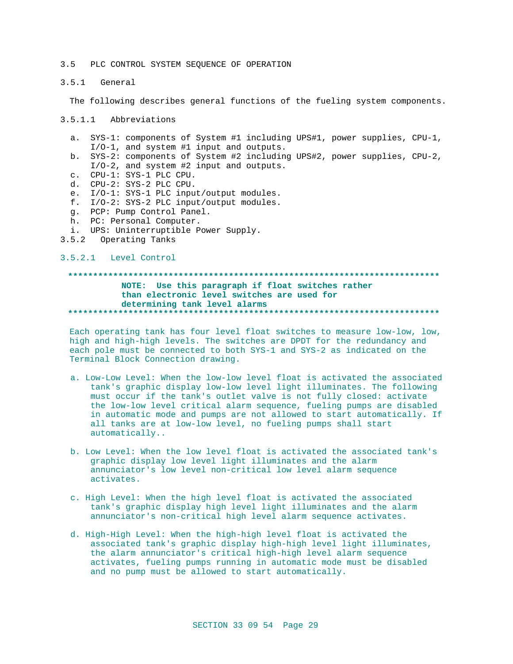### 3.5 PLC CONTROL SYSTEM SEQUENCE OF OPERATION

3.5.1 General

The following describes general functions of the fueling system components.

3.5.1.1 Abbreviations

- a. SYS-1: components of System #1 including UPS#1, power supplies, CPU-1, I/O-1, and system #1 input and outputs.
- b. SYS-2: components of System #2 including UPS#2, power supplies, CPU-2, I/O-2, and system #2 input and outputs.
- c. CPU-1: SYS-1 PLC CPU.
- d. CPU-2: SYS-2 PLC CPU.
- e. I/O-1: SYS-1 PLC input/output modules.
- f. I/O-2: SYS-2 PLC input/output modules.
- g. PCP: Pump Control Panel.
- h. PC: Personal Computer.
- i. UPS: Uninterruptible Power Supply.
- 3.5.2 Operating Tanks

### 3.5.2.1 Level Control

# **\*\*\*\*\*\*\*\*\*\*\*\*\*\*\*\*\*\*\*\*\*\*\*\*\*\*\*\*\*\*\*\*\*\*\*\*\*\*\*\*\*\*\*\*\*\*\*\*\*\*\*\*\*\*\*\*\*\*\*\*\*\*\*\*\*\*\*\*\*\*\*\*\*\* NOTE: Use this paragraph if float switches rather than electronic level switches are used for determining tank level alarms \*\*\*\*\*\*\*\*\*\*\*\*\*\*\*\*\*\*\*\*\*\*\*\*\*\*\*\*\*\*\*\*\*\*\*\*\*\*\*\*\*\*\*\*\*\*\*\*\*\*\*\*\*\*\*\*\*\*\*\*\*\*\*\*\*\*\*\*\*\*\*\*\*\***

Each operating tank has four level float switches to measure low-low, low, high and high-high levels. The switches are DPDT for the redundancy and each pole must be connected to both SYS-1 and SYS-2 as indicated on the Terminal Block Connection drawing.

- a. Low-Low Level: When the low-low level float is activated the associated tank's graphic display low-low level light illuminates. The following must occur if the tank's outlet valve is not fully closed: activate the low-low level critical alarm sequence, fueling pumps are disabled in automatic mode and pumps are not allowed to start automatically. If all tanks are at low-low level, no fueling pumps shall start automatically..
- b. Low Level: When the low level float is activated the associated tank's graphic display low level light illuminates and the alarm annunciator's low level non-critical low level alarm sequence activates.
- c. High Level: When the high level float is activated the associated tank's graphic display high level light illuminates and the alarm annunciator's non-critical high level alarm sequence activates.
- d. High-High Level: When the high-high level float is activated the associated tank's graphic display high-high level light illuminates, the alarm annunciator's critical high-high level alarm sequence activates, fueling pumps running in automatic mode must be disabled and no pump must be allowed to start automatically.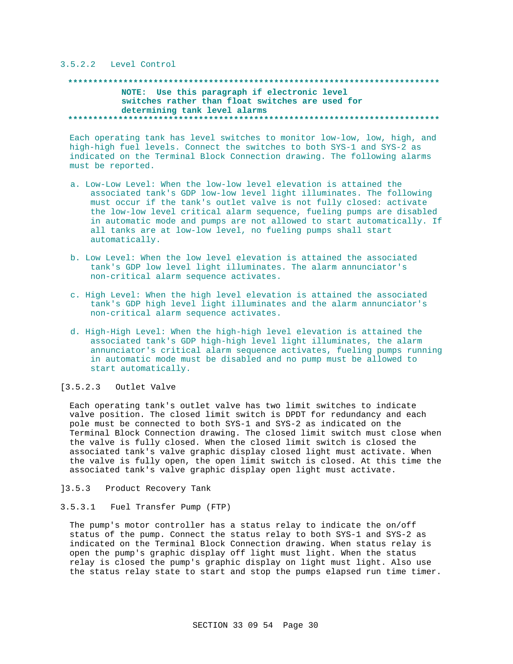### 3.5.2.2 Level Control

## **\*\*\*\*\*\*\*\*\*\*\*\*\*\*\*\*\*\*\*\*\*\*\*\*\*\*\*\*\*\*\*\*\*\*\*\*\*\*\*\*\*\*\*\*\*\*\*\*\*\*\*\*\*\*\*\*\*\*\*\*\*\*\*\*\*\*\*\*\*\*\*\*\*\* NOTE: Use this paragraph if electronic level switches rather than float switches are used for determining tank level alarms \*\*\*\*\*\*\*\*\*\*\*\*\*\*\*\*\*\*\*\*\*\*\*\*\*\*\*\*\*\*\*\*\*\*\*\*\*\*\*\*\*\*\*\*\*\*\*\*\*\*\*\*\*\*\*\*\*\*\*\*\*\*\*\*\*\*\*\*\*\*\*\*\*\***

Each operating tank has level switches to monitor low-low, low, high, and high-high fuel levels. Connect the switches to both SYS-1 and SYS-2 as indicated on the Terminal Block Connection drawing. The following alarms must be reported.

- a. Low-Low Level: When the low-low level elevation is attained the associated tank's GDP low-low level light illuminates. The following must occur if the tank's outlet valve is not fully closed: activate the low-low level critical alarm sequence, fueling pumps are disabled in automatic mode and pumps are not allowed to start automatically. If all tanks are at low-low level, no fueling pumps shall start automatically.
- b. Low Level: When the low level elevation is attained the associated tank's GDP low level light illuminates. The alarm annunciator's non-critical alarm sequence activates.
- c. High Level: When the high level elevation is attained the associated tank's GDP high level light illuminates and the alarm annunciator's non-critical alarm sequence activates.
- d. High-High Level: When the high-high level elevation is attained the associated tank's GDP high-high level light illuminates, the alarm annunciator's critical alarm sequence activates, fueling pumps running in automatic mode must be disabled and no pump must be allowed to start automatically.

### [3.5.2.3 Outlet Valve

Each operating tank's outlet valve has two limit switches to indicate valve position. The closed limit switch is DPDT for redundancy and each pole must be connected to both SYS-1 and SYS-2 as indicated on the Terminal Block Connection drawing. The closed limit switch must close when the valve is fully closed. When the closed limit switch is closed the associated tank's valve graphic display closed light must activate. When the valve is fully open, the open limit switch is closed. At this time the associated tank's valve graphic display open light must activate.

- ]3.5.3 Product Recovery Tank
- 3.5.3.1 Fuel Transfer Pump (FTP)

The pump's motor controller has a status relay to indicate the on/off status of the pump. Connect the status relay to both SYS-1 and SYS-2 as indicated on the Terminal Block Connection drawing. When status relay is open the pump's graphic display off light must light. When the status relay is closed the pump's graphic display on light must light. Also use the status relay state to start and stop the pumps elapsed run time timer.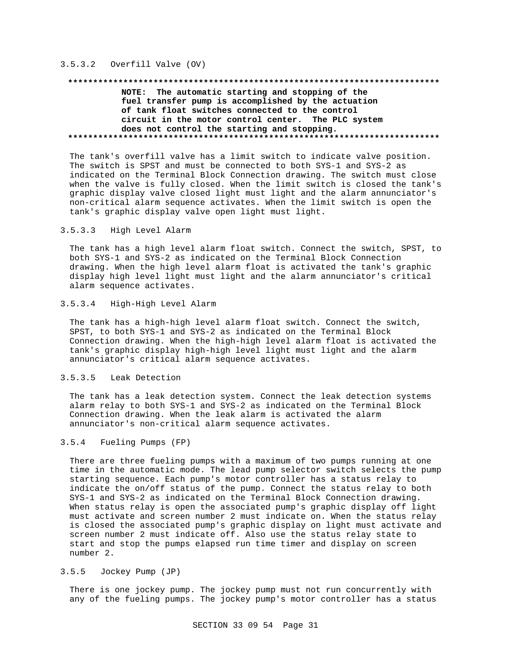## 3.5.3.2 Overfill Valve (OV)

# **\*\*\*\*\*\*\*\*\*\*\*\*\*\*\*\*\*\*\*\*\*\*\*\*\*\*\*\*\*\*\*\*\*\*\*\*\*\*\*\*\*\*\*\*\*\*\*\*\*\*\*\*\*\*\*\*\*\*\*\*\*\*\*\*\*\*\*\*\*\*\*\*\*\***

## **NOTE: The automatic starting and stopping of the fuel transfer pump is accomplished by the actuation of tank float switches connected to the control circuit in the motor control center. The PLC system does not control the starting and stopping. \*\*\*\*\*\*\*\*\*\*\*\*\*\*\*\*\*\*\*\*\*\*\*\*\*\*\*\*\*\*\*\*\*\*\*\*\*\*\*\*\*\*\*\*\*\*\*\*\*\*\*\*\*\*\*\*\*\*\*\*\*\*\*\*\*\*\*\*\*\*\*\*\*\***

The tank's overfill valve has a limit switch to indicate valve position. The switch is SPST and must be connected to both SYS-1 and SYS-2 as indicated on the Terminal Block Connection drawing. The switch must close when the valve is fully closed. When the limit switch is closed the tank's graphic display valve closed light must light and the alarm annunciator's non-critical alarm sequence activates. When the limit switch is open the tank's graphic display valve open light must light.

### 3.5.3.3 High Level Alarm

The tank has a high level alarm float switch. Connect the switch, SPST, to both SYS-1 and SYS-2 as indicated on the Terminal Block Connection drawing. When the high level alarm float is activated the tank's graphic display high level light must light and the alarm annunciator's critical alarm sequence activates.

## 3.5.3.4 High-High Level Alarm

The tank has a high-high level alarm float switch. Connect the switch, SPST, to both SYS-1 and SYS-2 as indicated on the Terminal Block Connection drawing. When the high-high level alarm float is activated the tank's graphic display high-high level light must light and the alarm annunciator's critical alarm sequence activates.

### 3.5.3.5 Leak Detection

The tank has a leak detection system. Connect the leak detection systems alarm relay to both SYS-1 and SYS-2 as indicated on the Terminal Block Connection drawing. When the leak alarm is activated the alarm annunciator's non-critical alarm sequence activates.

## 3.5.4 Fueling Pumps (FP)

There are three fueling pumps with a maximum of two pumps running at one time in the automatic mode. The lead pump selector switch selects the pump starting sequence. Each pump's motor controller has a status relay to indicate the on/off status of the pump. Connect the status relay to both SYS-1 and SYS-2 as indicated on the Terminal Block Connection drawing. When status relay is open the associated pump's graphic display off light must activate and screen number 2 must indicate on. When the status relay is closed the associated pump's graphic display on light must activate and screen number 2 must indicate off. Also use the status relay state to start and stop the pumps elapsed run time timer and display on screen number 2.

## 3.5.5 Jockey Pump (JP)

There is one jockey pump. The jockey pump must not run concurrently with any of the fueling pumps. The jockey pump's motor controller has a status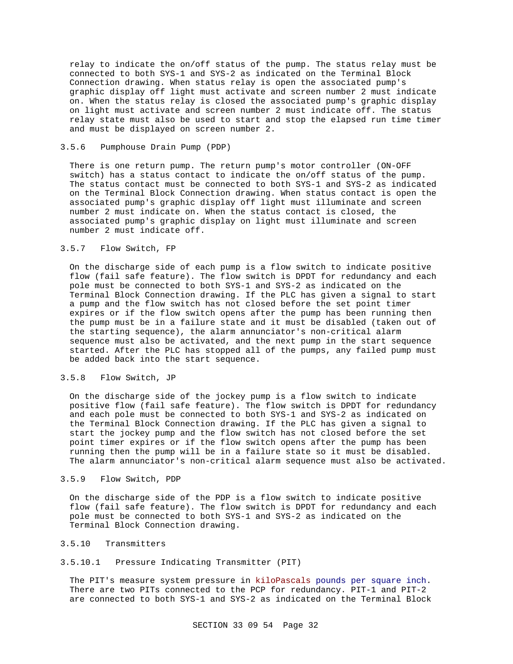relay to indicate the on/off status of the pump. The status relay must be connected to both SYS-1 and SYS-2 as indicated on the Terminal Block Connection drawing. When status relay is open the associated pump's graphic display off light must activate and screen number 2 must indicate on. When the status relay is closed the associated pump's graphic display on light must activate and screen number 2 must indicate off. The status relay state must also be used to start and stop the elapsed run time timer and must be displayed on screen number 2.

# 3.5.6 Pumphouse Drain Pump (PDP)

There is one return pump. The return pump's motor controller (ON-OFF switch) has a status contact to indicate the on/off status of the pump. The status contact must be connected to both SYS-1 and SYS-2 as indicated on the Terminal Block Connection drawing. When status contact is open the associated pump's graphic display off light must illuminate and screen number 2 must indicate on. When the status contact is closed, the associated pump's graphic display on light must illuminate and screen number 2 must indicate off.

# 3.5.7 Flow Switch, FP

On the discharge side of each pump is a flow switch to indicate positive flow (fail safe feature). The flow switch is DPDT for redundancy and each pole must be connected to both SYS-1 and SYS-2 as indicated on the Terminal Block Connection drawing. If the PLC has given a signal to start a pump and the flow switch has not closed before the set point timer expires or if the flow switch opens after the pump has been running then the pump must be in a failure state and it must be disabled (taken out of the starting sequence), the alarm annunciator's non-critical alarm sequence must also be activated, and the next pump in the start sequence started. After the PLC has stopped all of the pumps, any failed pump must be added back into the start sequence.

### 3.5.8 Flow Switch, JP

On the discharge side of the jockey pump is a flow switch to indicate positive flow (fail safe feature). The flow switch is DPDT for redundancy and each pole must be connected to both SYS-1 and SYS-2 as indicated on the Terminal Block Connection drawing. If the PLC has given a signal to start the jockey pump and the flow switch has not closed before the set point timer expires or if the flow switch opens after the pump has been running then the pump will be in a failure state so it must be disabled. The alarm annunciator's non-critical alarm sequence must also be activated.

# 3.5.9 Flow Switch, PDP

On the discharge side of the PDP is a flow switch to indicate positive flow (fail safe feature). The flow switch is DPDT for redundancy and each pole must be connected to both SYS-1 and SYS-2 as indicated on the Terminal Block Connection drawing.

### 3.5.10 Transmitters

## 3.5.10.1 Pressure Indicating Transmitter (PIT)

The PIT's measure system pressure in kiloPascals pounds per square inch. There are two PITs connected to the PCP for redundancy. PIT-1 and PIT-2 are connected to both SYS-1 and SYS-2 as indicated on the Terminal Block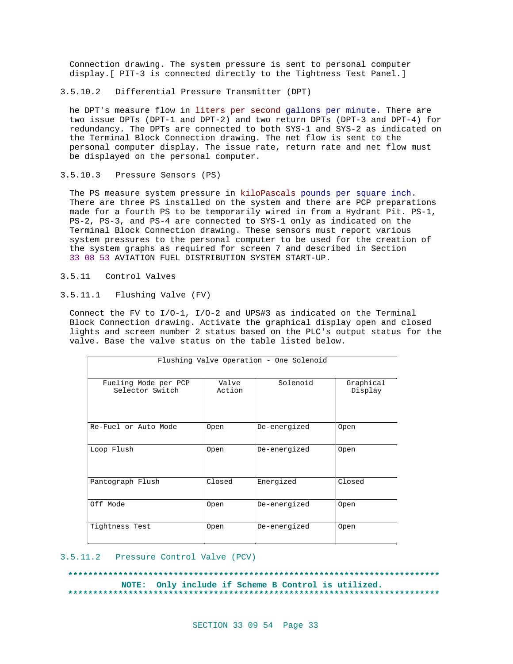Connection drawing. The system pressure is sent to personal computer display.[ PIT-3 is connected directly to the Tightness Test Panel.]

3.5.10.2 Differential Pressure Transmitter (DPT)

he DPT's measure flow in liters per second gallons per minute. There are two issue DPTs (DPT-1 and DPT-2) and two return DPTs (DPT-3 and DPT-4) for redundancy. The DPTs are connected to both SYS-1 and SYS-2 as indicated on the Terminal Block Connection drawing. The net flow is sent to the personal computer display. The issue rate, return rate and net flow must be displayed on the personal computer.

3.5.10.3 Pressure Sensors (PS)

The PS measure system pressure in kiloPascals pounds per square inch. There are three PS installed on the system and there are PCP preparations made for a fourth PS to be temporarily wired in from a Hydrant Pit. PS-1, PS-2, PS-3, and PS-4 are connected to SYS-1 only as indicated on the Terminal Block Connection drawing. These sensors must report various system pressures to the personal computer to be used for the creation of the system graphs as required for screen 7 and described in Section 33 08 53 AVIATION FUEL DISTRIBUTION SYSTEM START-UP.

- 3.5.11 Control Valves
- 3.5.11.1 Flushing Valve (FV)

Connect the FV to I/O-1, I/O-2 and UPS#3 as indicated on the Terminal Block Connection drawing. Activate the graphical display open and closed lights and screen number 2 status based on the PLC's output status for the valve. Base the valve status on the table listed below.

| Flushing Valve Operation - One Solenoid |                 |              |                      |  |
|-----------------------------------------|-----------------|--------------|----------------------|--|
| Fueling Mode per PCP<br>Selector Switch | Valve<br>Action | Solenoid     | Graphical<br>Display |  |
| Re-Fuel or Auto Mode                    | 0pen            | De-energized | <b>Open</b>          |  |
| Loop Flush                              | 0pen            | De-energized | <b>Open</b>          |  |
| Pantograph Flush                        | Closed          | Energized    | Closed               |  |
| Off Mode                                | Open            | De-energized | <b>Open</b>          |  |
| Tightness Test                          | 0pen            | De-energized | <b>Open</b>          |  |

#### 3.5.11.2 Pressure Control Valve (PCV)

**\*\*\*\*\*\*\*\*\*\*\*\*\*\*\*\*\*\*\*\*\*\*\*\*\*\*\*\*\*\*\*\*\*\*\*\*\*\*\*\*\*\*\*\*\*\*\*\*\*\*\*\*\*\*\*\*\*\*\*\*\*\*\*\*\*\*\*\*\*\*\*\*\*\* NOTE: Only include if Scheme B Control is utilized. \*\*\*\*\*\*\*\*\*\*\*\*\*\*\*\*\*\*\*\*\*\*\*\*\*\*\*\*\*\*\*\*\*\*\*\*\*\*\*\*\*\*\*\*\*\*\*\*\*\*\*\*\*\*\*\*\*\*\*\*\*\*\*\*\*\*\*\*\*\*\*\*\*\***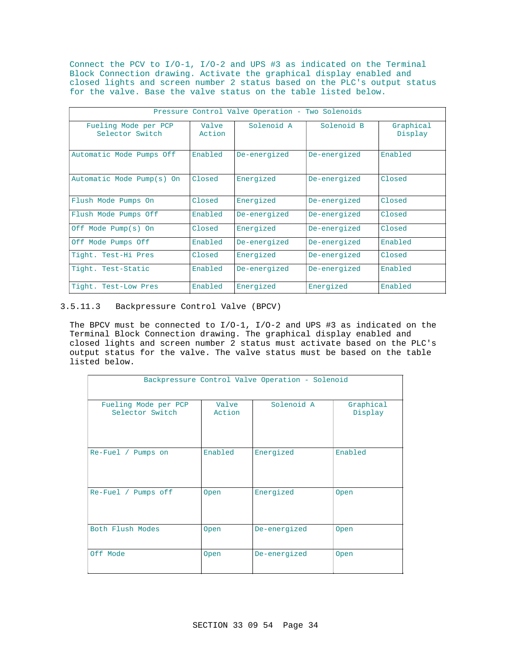Connect the PCV to I/O-1, I/O-2 and UPS #3 as indicated on the Terminal Block Connection drawing. Activate the graphical display enabled and closed lights and screen number 2 status based on the PLC's output status for the valve. Base the valve status on the table listed below.

| Pressure Control Valve Operation - Two Solenoids |                 |              |              |                      |
|--------------------------------------------------|-----------------|--------------|--------------|----------------------|
| Fueling Mode per PCP<br>Selector Switch          | Valve<br>Action | Solenoid A   | Solenoid B   | Graphical<br>Display |
| Automatic Mode Pumps Off                         | Enabled         | De-energized | De-energized | Enabled              |
| Automatic Mode Pump(s) On                        | Closed          | Energized    | De-energized | Closed               |
| Flush Mode Pumps On                              | Closed          | Energized    | De-energized | Closed               |
| Flush Mode Pumps Off                             | Enabled         | De-energized | De-energized | Closed               |
| Off Mode Pump(s) On                              | Closed          | Energized    | De-energized | Closed               |
| Off Mode Pumps Off                               | Enabled         | De-energized | De-energized | Enabled              |
| Tight. Test-Hi Pres                              | Closed          | Energized    | De-energized | Closed               |
| Tight. Test-Static                               | Enabled         | De-energized | De-energized | Enabled              |
| Tight. Test-Low Pres                             | Enabled         | Energized    | Energized    | Enabled              |

# 3.5.11.3 Backpressure Control Valve (BPCV)

The BPCV must be connected to I/O-1, I/O-2 and UPS #3 as indicated on the Terminal Block Connection drawing. The graphical display enabled and closed lights and screen number 2 status must activate based on the PLC's output status for the valve. The valve status must be based on the table listed below.

| Backpressure Control Valve Operation - Solenoid |                 |              |                      |  |
|-------------------------------------------------|-----------------|--------------|----------------------|--|
| Fueling Mode per PCP<br>Selector Switch         | Valve<br>Action | Solenoid A   | Graphical<br>Display |  |
| Re-Fuel / Pumps on                              | Enabled         | Energized    | Enabled              |  |
| Re-Fuel / Pumps off                             | <b>Open</b>     | Energized    | Open                 |  |
| Both Flush Modes                                | Open            | De-energized | Open                 |  |
| Off Mode                                        | <b>Open</b>     | De-energized | Open                 |  |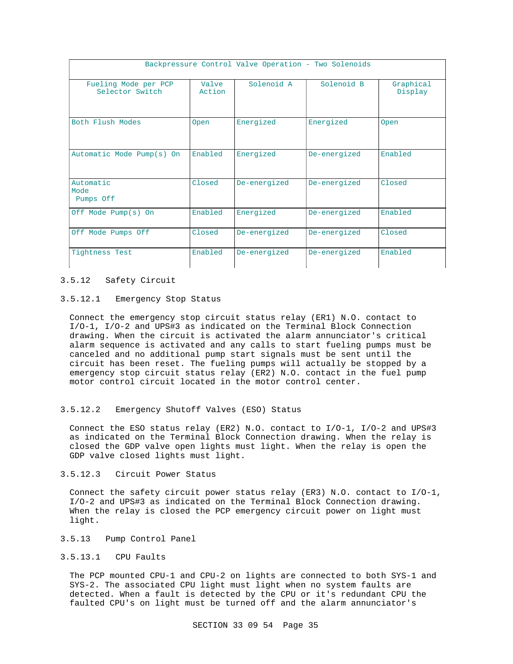| Backpressure Control Valve Operation - Two Solenoids |                 |              |              |                      |
|------------------------------------------------------|-----------------|--------------|--------------|----------------------|
| Fueling Mode per PCP<br>Selector Switch              | Valve<br>Action | Solenoid A   | Solenoid B   | Graphical<br>Display |
| Both Flush Modes                                     | Open            | Energized    | Energized    | <b>Open</b>          |
| Automatic Mode Pump(s) On                            | Enabled         | Energized    | De-energized | Enabled              |
| Automatic<br>Mode<br>Pumps Off                       | Closed          | De-energized | De-energized | Closed               |
| Off Mode Pump(s) On                                  | Enabled         | Energized    | De-energized | Enabled              |
| Off Mode Pumps Off                                   | Closed          | De-energized | De-energized | Closed               |
| Tightness Test                                       | Enabled         | De-energized | De-energized | Enabled              |

### 3.5.12 Safety Circuit

### 3.5.12.1 Emergency Stop Status

Connect the emergency stop circuit status relay (ER1) N.O. contact to I/O-1, I/O-2 and UPS#3 as indicated on the Terminal Block Connection drawing. When the circuit is activated the alarm annunciator's critical alarm sequence is activated and any calls to start fueling pumps must be canceled and no additional pump start signals must be sent until the circuit has been reset. The fueling pumps will actually be stopped by a emergency stop circuit status relay (ER2) N.O. contact in the fuel pump motor control circuit located in the motor control center.

## 3.5.12.2 Emergency Shutoff Valves (ESO) Status

Connect the ESO status relay (ER2) N.O. contact to I/O-1, I/O-2 and UPS#3 as indicated on the Terminal Block Connection drawing. When the relay is closed the GDP valve open lights must light. When the relay is open the GDP valve closed lights must light.

## 3.5.12.3 Circuit Power Status

Connect the safety circuit power status relay (ER3) N.O. contact to I/O-1, I/O-2 and UPS#3 as indicated on the Terminal Block Connection drawing. When the relay is closed the PCP emergency circuit power on light must light.

## 3.5.13 Pump Control Panel

### 3.5.13.1 CPU Faults

The PCP mounted CPU-1 and CPU-2 on lights are connected to both SYS-1 and SYS-2. The associated CPU light must light when no system faults are detected. When a fault is detected by the CPU or it's redundant CPU the faulted CPU's on light must be turned off and the alarm annunciator's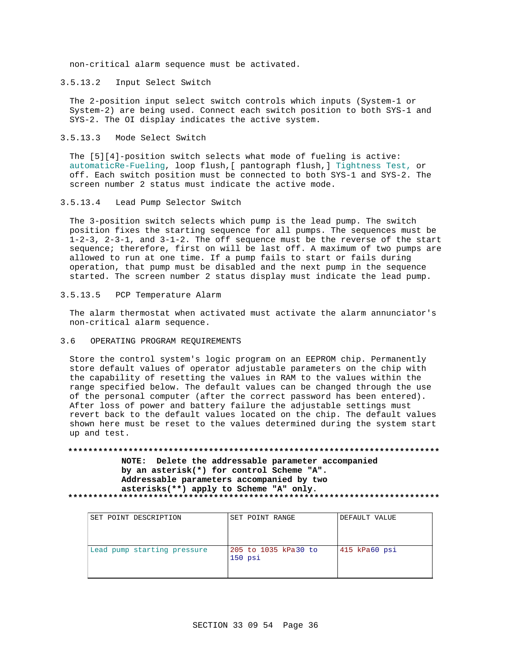non-critical alarm sequence must be activated.

3.5.13.2 Input Select Switch

The 2-position input select switch controls which inputs (System-1 or System-2) are being used. Connect each switch position to both SYS-1 and SYS-2. The OI display indicates the active system.

3.5.13.3 Mode Select Switch

The [5][4]-position switch selects what mode of fueling is active: automaticRe-Fueling, loop flush,[ pantograph flush,] Tightness Test, or off. Each switch position must be connected to both SYS-1 and SYS-2. The screen number 2 status must indicate the active mode.

3.5.13.4 Lead Pump Selector Switch

The 3-position switch selects which pump is the lead pump. The switch position fixes the starting sequence for all pumps. The sequences must be 1-2-3, 2-3-1, and 3-1-2. The off sequence must be the reverse of the start sequence; therefore, first on will be last off. A maximum of two pumps are allowed to run at one time. If a pump fails to start or fails during operation, that pump must be disabled and the next pump in the sequence started. The screen number 2 status display must indicate the lead pump.

3.5.13.5 PCP Temperature Alarm

The alarm thermostat when activated must activate the alarm annunciator's non-critical alarm sequence.

3.6 OPERATING PROGRAM REQUIREMENTS

Store the control system's logic program on an EEPROM chip. Permanently store default values of operator adjustable parameters on the chip with the capability of resetting the values in RAM to the values within the range specified below. The default values can be changed through the use of the personal computer (after the correct password has been entered). After loss of power and battery failure the adjustable settings must revert back to the default values located on the chip. The default values shown here must be reset to the values determined during the system start up and test.

**\*\*\*\*\*\*\*\*\*\*\*\*\*\*\*\*\*\*\*\*\*\*\*\*\*\*\*\*\*\*\*\*\*\*\*\*\*\*\*\*\*\*\*\*\*\*\*\*\*\*\*\*\*\*\*\*\*\*\*\*\*\*\*\*\*\*\*\*\*\*\*\*\*\* NOTE: Delete the addressable parameter accompanied by an asterisk(\*) for control Scheme "A". Addressable parameters accompanied by two asterisks(\*\*) apply to Scheme "A" only. \*\*\*\*\*\*\*\*\*\*\*\*\*\*\*\*\*\*\*\*\*\*\*\*\*\*\*\*\*\*\*\*\*\*\*\*\*\*\*\*\*\*\*\*\*\*\*\*\*\*\*\*\*\*\*\*\*\*\*\*\*\*\*\*\*\*\*\*\*\*\*\*\*\***

| SET POINT DESCRIPTION       | SET POINT RANGE                   | DEFAULT VALUE      |
|-----------------------------|-----------------------------------|--------------------|
| Lead pump starting pressure | 205 to 1035 kPa30 to<br>$150$ psi | $415$ kPa $60$ psi |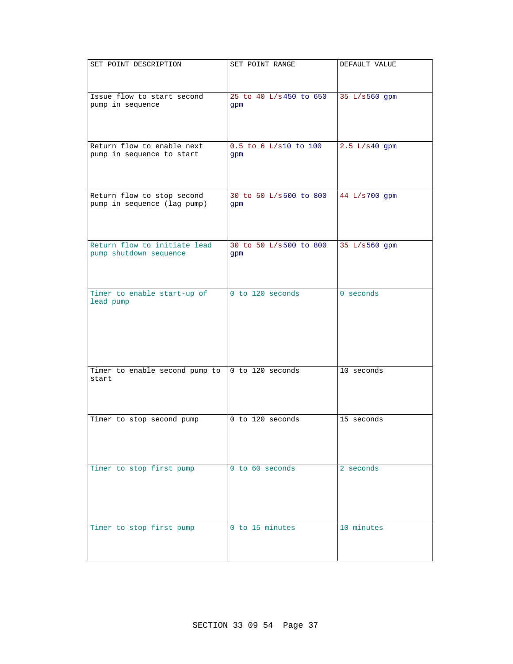| SET POINT DESCRIPTION                                     | SET POINT RANGE                | DEFAULT VALUE   |
|-----------------------------------------------------------|--------------------------------|-----------------|
|                                                           |                                |                 |
| Issue flow to start second<br>pump in sequence            | 25 to 40 L/s 450 to 650<br>gpm | 35 L/s560 gpm   |
|                                                           |                                |                 |
| Return flow to enable next<br>pump in sequence to start   | 0.5 to 6 L/s10 to 100<br>gpm   | $2.5 L/s40$ gpm |
| Return flow to stop second<br>pump in sequence (lag pump) | 30 to 50 L/s500 to 800<br>gpm  | 44 L/s700 gpm   |
| Return flow to initiate lead<br>pump shutdown sequence    | 30 to 50 L/s500 to 800<br>gpm  | 35 L/s560 gpm   |
| Timer to enable start-up of<br>lead pump                  | 0 to 120 seconds               | $0$ seconds     |
| Timer to enable second pump to<br>start                   | 0 to 120 seconds               | 10 seconds      |
| Timer to stop second pump                                 | 0 to 120 seconds               | 15 seconds      |
| Timer to stop first pump                                  | 0 to 60 seconds                | 2 seconds       |
| Timer to stop first pump                                  | 0 to 15 minutes                | 10 minutes      |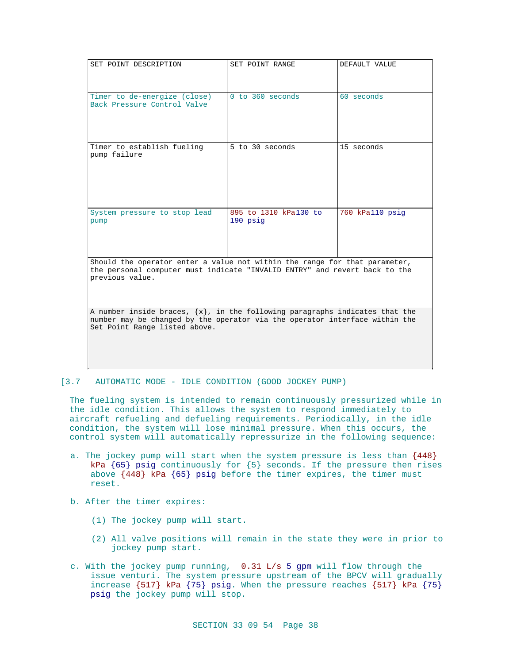| SET POINT DESCRIPTION                                                                                                                                                                            | SET POINT RANGE                   | DEFAULT VALUE   |
|--------------------------------------------------------------------------------------------------------------------------------------------------------------------------------------------------|-----------------------------------|-----------------|
| Timer to de-energize (close)<br>Back Pressure Control Valve                                                                                                                                      | $0$ to $360$ seconds              | $60$ seconds    |
| Timer to establish fueling<br>pump failure                                                                                                                                                       | 5 to 30 seconds                   | 15 seconds      |
| System pressure to stop lead<br>pump                                                                                                                                                             | 895 to 1310 kPa130 to<br>190 psig | 760 kPall0 psig |
| Should the operator enter a value not within the range for that parameter,<br>the personal computer must indicate "INVALID ENTRY" and revert back to the<br>previous value.                      |                                   |                 |
| A number inside braces, $\{x\}$ , in the following paragraphs indicates that the<br>number may be changed by the operator via the operator interface within the<br>Set Point Range listed above. |                                   |                 |

### [3.7 AUTOMATIC MODE - IDLE CONDITION (GOOD JOCKEY PUMP)

The fueling system is intended to remain continuously pressurized while in the idle condition. This allows the system to respond immediately to aircraft refueling and defueling requirements. Periodically, in the idle condition, the system will lose minimal pressure. When this occurs, the control system will automatically repressurize in the following sequence:

- a. The jockey pump will start when the system pressure is less than {448} kPa  ${65}$  psig continuously for  ${5}$  seconds. If the pressure then rises above {448} kPa {65} psig before the timer expires, the timer must reset.
- b. After the timer expires:
	- (1) The jockey pump will start.
	- (2) All valve positions will remain in the state they were in prior to jockey pump start.
- c. With the jockey pump running, 0.31 L/s 5 gpm will flow through the issue venturi. The system pressure upstream of the BPCV will gradually increase {517} kPa {75} psig. When the pressure reaches {517} kPa {75} psig the jockey pump will stop.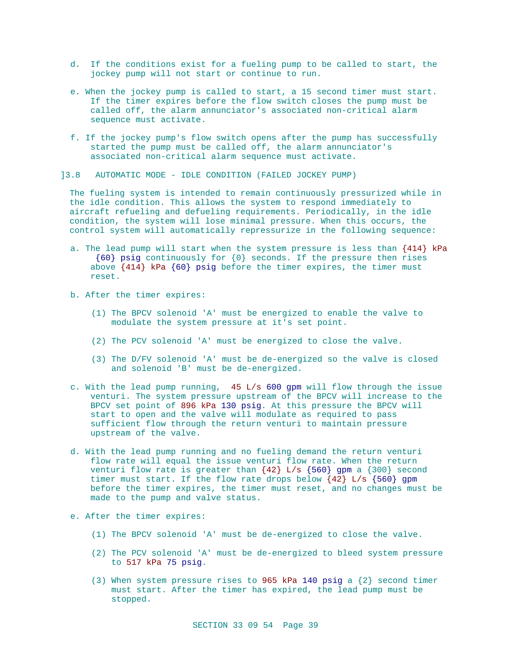- d. If the conditions exist for a fueling pump to be called to start, the jockey pump will not start or continue to run.
- e. When the jockey pump is called to start, a 15 second timer must start. If the timer expires before the flow switch closes the pump must be called off, the alarm annunciator's associated non-critical alarm sequence must activate.
- f. If the jockey pump's flow switch opens after the pump has successfully started the pump must be called off, the alarm annunciator's associated non-critical alarm sequence must activate.
- ]3.8 AUTOMATIC MODE IDLE CONDITION (FAILED JOCKEY PUMP)

The fueling system is intended to remain continuously pressurized while in the idle condition. This allows the system to respond immediately to aircraft refueling and defueling requirements. Periodically, in the idle condition, the system will lose minimal pressure. When this occurs, the control system will automatically repressurize in the following sequence:

- a. The lead pump will start when the system pressure is less than {414} kPa {60} psig continuously for {0} seconds. If the pressure then rises above {414} kPa {60} psig before the timer expires, the timer must reset.
- b. After the timer expires:
	- (1) The BPCV solenoid 'A' must be energized to enable the valve to modulate the system pressure at it's set point.
	- (2) The PCV solenoid 'A' must be energized to close the valve.
	- (3) The D/FV solenoid 'A' must be de-energized so the valve is closed and solenoid 'B' must be de-energized.
- c. With the lead pump running, 45 L/s 600 gpm will flow through the issue venturi. The system pressure upstream of the BPCV will increase to the BPCV set point of 896 kPa 130 psig. At this pressure the BPCV will start to open and the valve will modulate as required to pass sufficient flow through the return venturi to maintain pressure upstream of the valve.
- d. With the lead pump running and no fueling demand the return venturi flow rate will equal the issue venturi flow rate. When the return venturi flow rate is greater than  $\{42\}$  L/s  $\{560\}$  gpm a  $\{300\}$  second timer must start. If the flow rate drops below {42} L/s {560} gpm before the timer expires, the timer must reset, and no changes must be made to the pump and valve status.
- e. After the timer expires:
	- (1) The BPCV solenoid 'A' must be de-energized to close the valve.
	- (2) The PCV solenoid 'A' must be de-energized to bleed system pressure to 517 kPa 75 psig.
	- (3) When system pressure rises to 965 kPa 140 psig a  $\{2\}$  second timer must start. After the timer has expired, the lead pump must be stopped.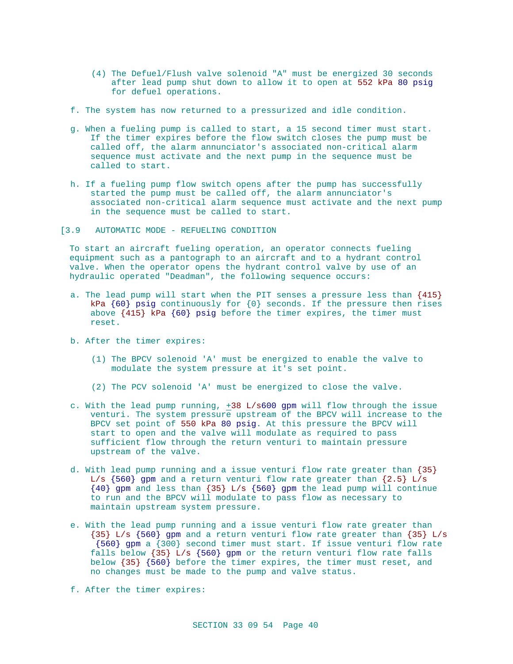- (4) The Defuel/Flush valve solenoid "A" must be energized 30 seconds after lead pump shut down to allow it to open at 552 kPa 80 psig for defuel operations.
- f. The system has now returned to a pressurized and idle condition.
- g. When a fueling pump is called to start, a 15 second timer must start. If the timer expires before the flow switch closes the pump must be called off, the alarm annunciator's associated non-critical alarm sequence must activate and the next pump in the sequence must be called to start.
- h. If a fueling pump flow switch opens after the pump has successfully started the pump must be called off, the alarm annunciator's associated non-critical alarm sequence must activate and the next pump in the sequence must be called to start.
- [3.9 AUTOMATIC MODE REFUELING CONDITION

To start an aircraft fueling operation, an operator connects fueling equipment such as a pantograph to an aircraft and to a hydrant control valve. When the operator opens the hydrant control valve by use of an hydraulic operated "Deadman", the following sequence occurs:

- a. The lead pump will start when the PIT senses a pressure less than {415} kPa  $\{60\}$  psig continuously for  $\{0\}$  seconds. If the pressure then rises above {415} kPa {60} psig before the timer expires, the timer must reset.
- b. After the timer expires:
	- (1) The BPCV solenoid 'A' must be energized to enable the valve to modulate the system pressure at it's set point.
	- (2) The PCV solenoid 'A' must be energized to close the valve.
- c. With the lead pump running, +38 L/s600 gpm will flow through the issue venturi. The system pressure upstream of the BPCV will increase to the BPCV set point of 550 kPa 80 psig. At this pressure the BPCV will start to open and the valve will modulate as required to pass sufficient flow through the return venturi to maintain pressure upstream of the valve.
- d. With lead pump running and a issue venturi flow rate greater than {35} L/s  $\{560\}$  gpm and a return venturi flow rate greater than  $\{2.5\}$  L/s {40} gpm and less than {35} L/s {560} gpm the lead pump will continue to run and the BPCV will modulate to pass flow as necessary to maintain upstream system pressure.
- e. With the lead pump running and a issue venturi flow rate greater than {35} L/s {560} gpm and a return venturi flow rate greater than {35} L/s {560} gpm a {300} second timer must start. If issue venturi flow rate falls below {35} L/s {560} gpm or the return venturi flow rate falls below {35} {560} before the timer expires, the timer must reset, and no changes must be made to the pump and valve status.
- f. After the timer expires: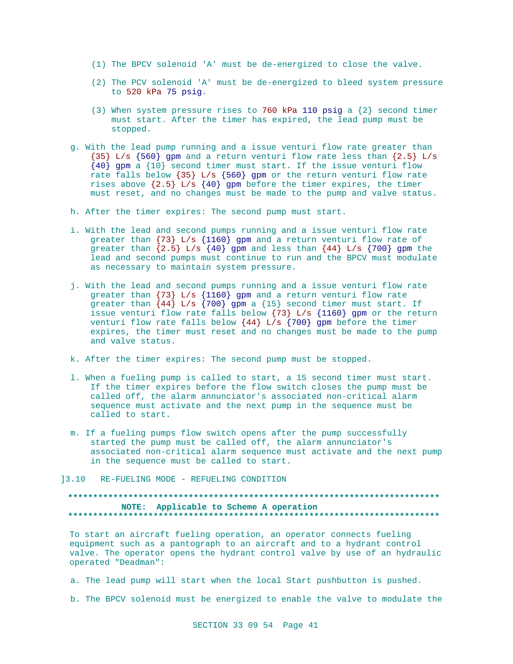- (1) The BPCV solenoid 'A' must be de-energized to close the valve.
- (2) The PCV solenoid 'A' must be de-energized to bleed system pressure to 520 kPa 75 psig.
- (3) When system pressure rises to 760 kPa 110 psig a  $\{2\}$  second timer must start. After the timer has expired, the lead pump must be stopped.
- g. With the lead pump running and a issue venturi flow rate greater than  ${35}$  L/s  ${560}$  gpm and a return venturi flow rate less than  ${2.5}$  L/s {40} gpm a {10} second timer must start. If the issue venturi flow rate falls below  $\{35\}$  L/s  $\{560\}$  gpm or the return venturi flow rate rises above  $\{2.5\}$  L/s  $\{40\}$  gpm before the timer expires, the timer must reset, and no changes must be made to the pump and valve status.
- h. After the timer expires: The second pump must start.
- i. With the lead and second pumps running and a issue venturi flow rate greater than {73} L/s {1160} gpm and a return venturi flow rate of greater than  $\{2.5\}$  L/s  $\{40\}$  gpm and less than  $\{44\}$  L/s  $\{700\}$  gpm the lead and second pumps must continue to run and the BPCV must modulate as necessary to maintain system pressure.
- j. With the lead and second pumps running and a issue venturi flow rate greater than  $\{73\}$  L/s  $\{1160\}$  gpm and a return venturi flow rate greater than  $\{44\}$  L/s  $\{700\}$  gpm a  $\{15\}$  second timer must start. If issue venturi flow rate falls below {73} L/s {1160} gpm or the return venturi flow rate falls below  $\{44\}$  L/s  $\{700\}$  gpm before the timer expires, the timer must reset and no changes must be made to the pump and valve status.
- k. After the timer expires: The second pump must be stopped.
- l. When a fueling pump is called to start, a 15 second timer must start. If the timer expires before the flow switch closes the pump must be called off, the alarm annunciator's associated non-critical alarm sequence must activate and the next pump in the sequence must be called to start.
- m. If a fueling pumps flow switch opens after the pump successfully started the pump must be called off, the alarm annunciator's associated non-critical alarm sequence must activate and the next pump in the sequence must be called to start.
- ]3.10 RE-FUELING MODE REFUELING CONDITION

## **\*\*\*\*\*\*\*\*\*\*\*\*\*\*\*\*\*\*\*\*\*\*\*\*\*\*\*\*\*\*\*\*\*\*\*\*\*\*\*\*\*\*\*\*\*\*\*\*\*\*\*\*\*\*\*\*\*\*\*\*\*\*\*\*\*\*\*\*\*\*\*\*\*\* NOTE: Applicable to Scheme A operation \*\*\*\*\*\*\*\*\*\*\*\*\*\*\*\*\*\*\*\*\*\*\*\*\*\*\*\*\*\*\*\*\*\*\*\*\*\*\*\*\*\*\*\*\*\*\*\*\*\*\*\*\*\*\*\*\*\*\*\*\*\*\*\*\*\*\*\*\*\*\*\*\*\***

To start an aircraft fueling operation, an operator connects fueling equipment such as a pantograph to an aircraft and to a hydrant control valve. The operator opens the hydrant control valve by use of an hydraulic operated "Deadman":

- a. The lead pump will start when the local Start pushbutton is pushed.
- b. The BPCV solenoid must be energized to enable the valve to modulate the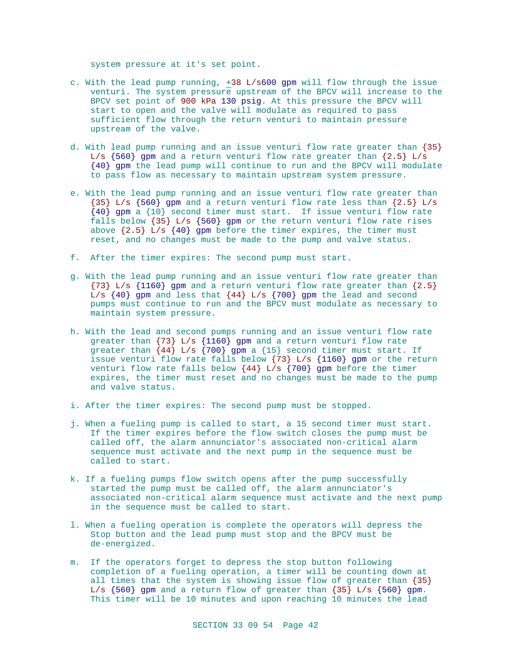system pressure at it's set point.

- c. With the lead pump running,  $+38$  L/s600 gpm will flow through the issue venturi. The system pressure upstream of the BPCV will increase to the BPCV set point of 900 kPa 130 psig. At this pressure the BPCV will start to open and the valve will modulate as required to pass sufficient flow through the return venturi to maintain pressure upstream of the valve.
- d. With lead pump running and an issue venturi flow rate greater than {35} L/s  $\{560\}$  gpm and a return venturi flow rate greater than  $\{2.5\}$  L/s {40} gpm the lead pump will continue to run and the BPCV will modulate to pass flow as necessary to maintain upstream system pressure.
- e. With the lead pump running and an issue venturi flow rate greater than  ${35}$  L/s  ${560}$  gpm and a return venturi flow rate less than  ${2.5}$  L/s  ${40}$  gpm a  ${10}$  second timer must start. If issue venturi flow rate falls below {35} L/s {560} gpm or the return venturi flow rate rises above  $\{2.5\}$  L/s  $\{40\}$  gpm before the timer expires, the timer must reset, and no changes must be made to the pump and valve status.
- f. After the timer expires: The second pump must start.
- g. With the lead pump running and an issue venturi flow rate greater than  ${73}$  L/s  ${1160}$  gpm and a return venturi flow rate greater than  ${2.5}$  $L/s$   $\{40\}$  gpm and less that  $\{44\}$   $L/s$   $\{700\}$  gpm the lead and second pumps must continue to run and the BPCV must modulate as necessary to maintain system pressure.
- h. With the lead and second pumps running and an issue venturi flow rate greater than {73} L/s {1160} gpm and a return venturi flow rate greater than  $\{44\}$  L/s  $\{700\}$  gpm a  $\{15\}$  second timer must start. If issue venturi flow rate falls below {73} L/s {1160} gpm or the return venturi flow rate falls below  $\{44\}$  L/s  $\{700\}$  gpm before the timer expires, the timer must reset and no changes must be made to the pump and valve status.
- i. After the timer expires: The second pump must be stopped.
- j. When a fueling pump is called to start, a 15 second timer must start. If the timer expires before the flow switch closes the pump must be called off, the alarm annunciator's associated non-critical alarm sequence must activate and the next pump in the sequence must be called to start.
- k. If a fueling pumps flow switch opens after the pump successfully started the pump must be called off, the alarm annunciator's associated non-critical alarm sequence must activate and the next pump in the sequence must be called to start.
- l. When a fueling operation is complete the operators will depress the Stop button and the lead pump must stop and the BPCV must be de-energized.
- m. If the operators forget to depress the stop button following completion of a fueling operation, a timer will be counting down at all times that the system is showing issue flow of greater than {35} L/s  $\{560\}$  gpm and a return flow of greater than  $\{35\}$  L/s  $\{560\}$  gpm. This timer will be 10 minutes and upon reaching 10 minutes the lead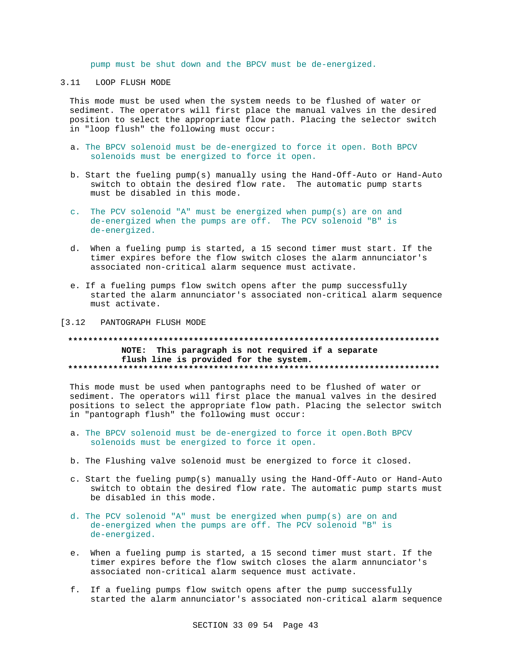pump must be shut down and the BPCV must be de-energized.

# 3.11 LOOP FLUSH MODE

This mode must be used when the system needs to be flushed of water or sediment. The operators will first place the manual valves in the desired position to select the appropriate flow path. Placing the selector switch in "loop flush" the following must occur:

- a. The BPCV solenoid must be de-energized to force it open. Both BPCV solenoids must be energized to force it open.
- b. Start the fueling pump(s) manually using the Hand-Off-Auto or Hand-Auto switch to obtain the desired flow rate. The automatic pump starts must be disabled in this mode.
- c. The PCV solenoid "A" must be energized when pump(s) are on and de-energized when the pumps are off. The PCV solenoid "B" is de-energized.
- d. When a fueling pump is started, a 15 second timer must start. If the timer expires before the flow switch closes the alarm annunciator's associated non-critical alarm sequence must activate.
- e. If a fueling pumps flow switch opens after the pump successfully started the alarm annunciator's associated non-critical alarm sequence must activate.

[3.12 PANTOGRAPH FLUSH MODE

## **\*\*\*\*\*\*\*\*\*\*\*\*\*\*\*\*\*\*\*\*\*\*\*\*\*\*\*\*\*\*\*\*\*\*\*\*\*\*\*\*\*\*\*\*\*\*\*\*\*\*\*\*\*\*\*\*\*\*\*\*\*\*\*\*\*\*\*\*\*\*\*\*\*\* NOTE: This paragraph is not required if a separate flush line is provided for the system. \*\*\*\*\*\*\*\*\*\*\*\*\*\*\*\*\*\*\*\*\*\*\*\*\*\*\*\*\*\*\*\*\*\*\*\*\*\*\*\*\*\*\*\*\*\*\*\*\*\*\*\*\*\*\*\*\*\*\*\*\*\*\*\*\*\*\*\*\*\*\*\*\*\***

This mode must be used when pantographs need to be flushed of water or sediment. The operators will first place the manual valves in the desired positions to select the appropriate flow path. Placing the selector switch in "pantograph flush" the following must occur:

- a. The BPCV solenoid must be de-energized to force it open.Both BPCV solenoids must be energized to force it open.
- b. The Flushing valve solenoid must be energized to force it closed.
- c. Start the fueling pump(s) manually using the Hand-Off-Auto or Hand-Auto switch to obtain the desired flow rate. The automatic pump starts must be disabled in this mode.
- d. The PCV solenoid "A" must be energized when pump(s) are on and de-energized when the pumps are off. The PCV solenoid "B" is de-energized.
- e. When a fueling pump is started, a 15 second timer must start. If the timer expires before the flow switch closes the alarm annunciator's associated non-critical alarm sequence must activate.
- f. If a fueling pumps flow switch opens after the pump successfully started the alarm annunciator's associated non-critical alarm sequence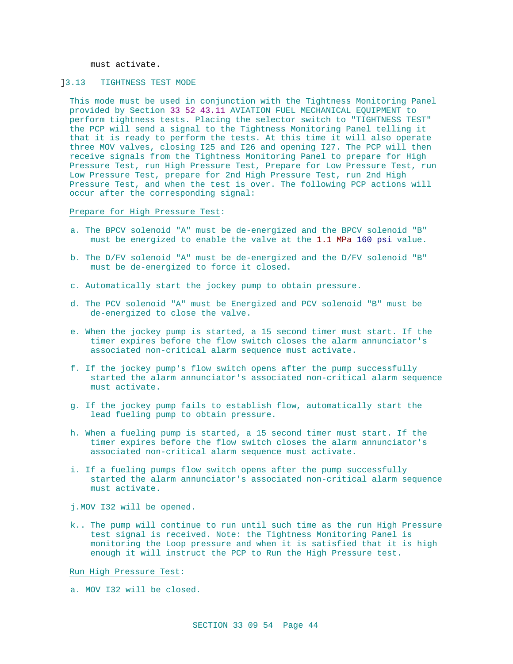must activate.

# ]3.13 TIGHTNESS TEST MODE

This mode must be used in conjunction with the Tightness Monitoring Panel provided by Section 33 52 43.11 AVIATION FUEL MECHANICAL EQUIPMENT to perform tightness tests. Placing the selector switch to "TIGHTNESS TEST" the PCP will send a signal to the Tightness Monitoring Panel telling it that it is ready to perform the tests. At this time it will also operate three MOV valves, closing I25 and I26 and opening I27. The PCP will then receive signals from the Tightness Monitoring Panel to prepare for High Pressure Test, run High Pressure Test, Prepare for Low Pressure Test, run Low Pressure Test, prepare for 2nd High Pressure Test, run 2nd High Pressure Test, and when the test is over. The following PCP actions will occur after the corresponding signal:

Prepare for High Pressure Test:

- a. The BPCV solenoid "A" must be de-energized and the BPCV solenoid "B" must be energized to enable the valve at the 1.1 MPa 160 psi value.
- b. The D/FV solenoid "A" must be de-energized and the D/FV solenoid "B" must be de-energized to force it closed.
- c. Automatically start the jockey pump to obtain pressure.
- d. The PCV solenoid "A" must be Energized and PCV solenoid "B" must be de-energized to close the valve.
- e. When the jockey pump is started, a 15 second timer must start. If the timer expires before the flow switch closes the alarm annunciator's associated non-critical alarm sequence must activate.
- f. If the jockey pump's flow switch opens after the pump successfully started the alarm annunciator's associated non-critical alarm sequence must activate.
- g. If the jockey pump fails to establish flow, automatically start the lead fueling pump to obtain pressure.
- h. When a fueling pump is started, a 15 second timer must start. If the timer expires before the flow switch closes the alarm annunciator's associated non-critical alarm sequence must activate.
- i. If a fueling pumps flow switch opens after the pump successfully started the alarm annunciator's associated non-critical alarm sequence must activate.

j.MOV I32 will be opened.

k.. The pump will continue to run until such time as the run High Pressure test signal is received. Note: the Tightness Monitoring Panel is monitoring the Loop pressure and when it is satisfied that it is high enough it will instruct the PCP to Run the High Pressure test.

Run High Pressure Test:

a. MOV I32 will be closed.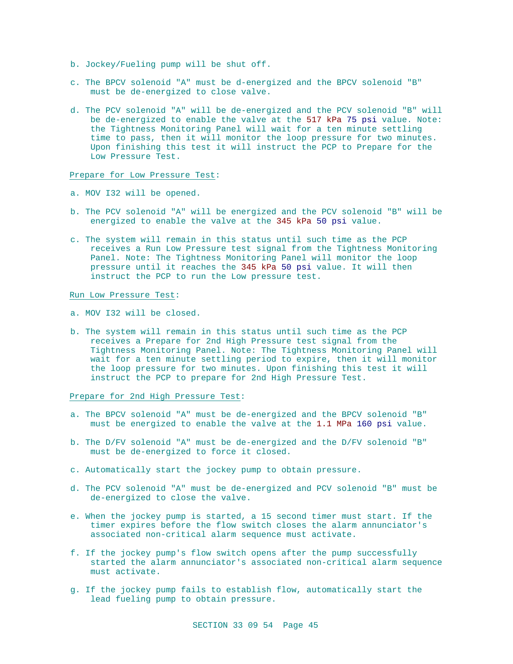- b. Jockey/Fueling pump will be shut off.
- c. The BPCV solenoid "A" must be d-energized and the BPCV solenoid "B" must be de-energized to close valve.
- d. The PCV solenoid "A" will be de-energized and the PCV solenoid "B" will be de-energized to enable the valve at the 517 kPa 75 psi value. Note: the Tightness Monitoring Panel will wait for a ten minute settling time to pass, then it will monitor the loop pressure for two minutes. Upon finishing this test it will instruct the PCP to Prepare for the Low Pressure Test.

### Prepare for Low Pressure Test:

- a. MOV I32 will be opened.
- b. The PCV solenoid "A" will be energized and the PCV solenoid "B" will be energized to enable the valve at the 345 kPa 50 psi value.
- c. The system will remain in this status until such time as the PCP receives a Run Low Pressure test signal from the Tightness Monitoring Panel. Note: The Tightness Monitoring Panel will monitor the loop pressure until it reaches the 345 kPa 50 psi value. It will then instruct the PCP to run the Low pressure test.

Run Low Pressure Test:

- a. MOV I32 will be closed.
- b. The system will remain in this status until such time as the PCP receives a Prepare for 2nd High Pressure test signal from the Tightness Monitoring Panel. Note: The Tightness Monitoring Panel will wait for a ten minute settling period to expire, then it will monitor the loop pressure for two minutes. Upon finishing this test it will instruct the PCP to prepare for 2nd High Pressure Test.

Prepare for 2nd High Pressure Test:

- a. The BPCV solenoid "A" must be de-energized and the BPCV solenoid "B" must be energized to enable the valve at the 1.1 MPa 160 psi value.
- b. The D/FV solenoid "A" must be de-energized and the D/FV solenoid "B" must be de-energized to force it closed.
- c. Automatically start the jockey pump to obtain pressure.
- d. The PCV solenoid "A" must be de-energized and PCV solenoid "B" must be de-energized to close the valve.
- e. When the jockey pump is started, a 15 second timer must start. If the timer expires before the flow switch closes the alarm annunciator's associated non-critical alarm sequence must activate.
- f. If the jockey pump's flow switch opens after the pump successfully started the alarm annunciator's associated non-critical alarm sequence must activate.
- g. If the jockey pump fails to establish flow, automatically start the lead fueling pump to obtain pressure.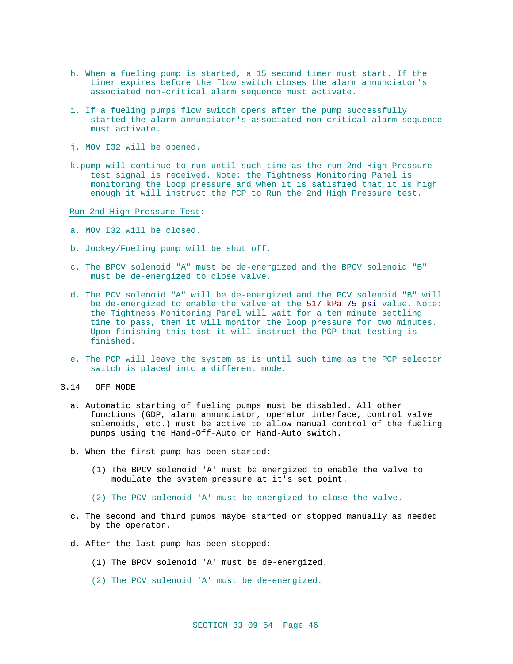- h. When a fueling pump is started, a 15 second timer must start. If the timer expires before the flow switch closes the alarm annunciator's associated non-critical alarm sequence must activate.
- i. If a fueling pumps flow switch opens after the pump successfully started the alarm annunciator's associated non-critical alarm sequence must activate.
- j. MOV I32 will be opened.
- k.pump will continue to run until such time as the run 2nd High Pressure test signal is received. Note: the Tightness Monitoring Panel is monitoring the Loop pressure and when it is satisfied that it is high enough it will instruct the PCP to Run the 2nd High Pressure test.

Run 2nd High Pressure Test:

- a. MOV I32 will be closed.
- b. Jockey/Fueling pump will be shut off.
- c. The BPCV solenoid "A" must be de-energized and the BPCV solenoid "B" must be de-energized to close valve.
- d. The PCV solenoid "A" will be de-energized and the PCV solenoid "B" will be de-energized to enable the valve at the 517 kPa 75 psi value. Note: the Tightness Monitoring Panel will wait for a ten minute settling time to pass, then it will monitor the loop pressure for two minutes. Upon finishing this test it will instruct the PCP that testing is finished.
- e. The PCP will leave the system as is until such time as the PCP selector switch is placed into a different mode.
- 3.14 OFF MODE
	- a. Automatic starting of fueling pumps must be disabled. All other functions (GDP, alarm annunciator, operator interface, control valve solenoids, etc.) must be active to allow manual control of the fueling pumps using the Hand-Off-Auto or Hand-Auto switch.
	- b. When the first pump has been started:
		- (1) The BPCV solenoid 'A' must be energized to enable the valve to modulate the system pressure at it's set point.
		- (2) The PCV solenoid 'A' must be energized to close the valve.
	- c. The second and third pumps maybe started or stopped manually as needed by the operator.
	- d. After the last pump has been stopped:
		- (1) The BPCV solenoid 'A' must be de-energized.
		- (2) The PCV solenoid 'A' must be de-energized.